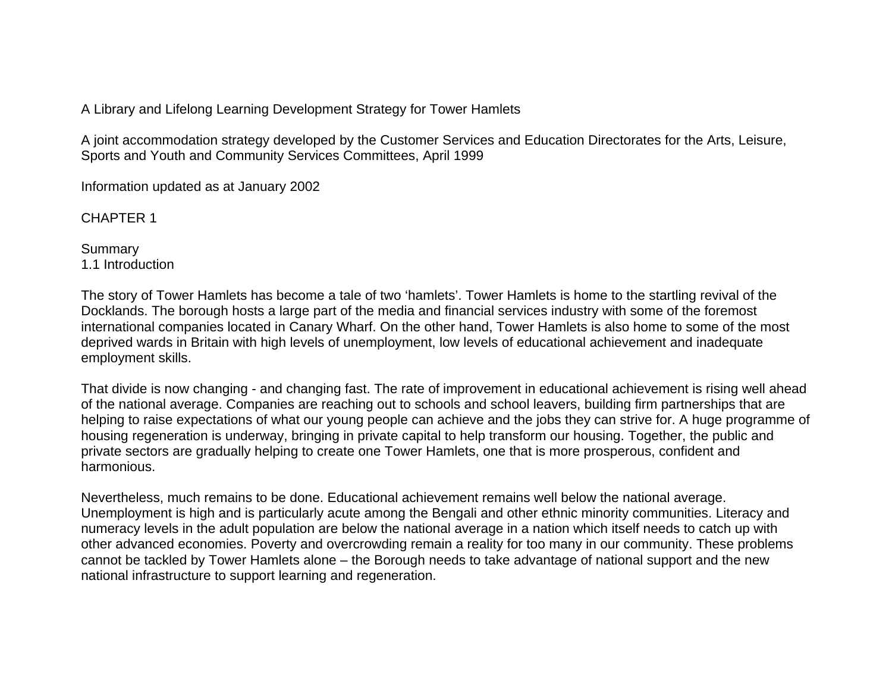A Library and Lifelong Learning Development Strategy for Tower Hamlets

A joint accommodation strategy developed by the Customer Services and Education Directorates for the Arts, Leisure, Sports and Youth and Community Services Committees, April 1999

Information updated as at January 2002

CHAPTER 1

**Summary** 1.1 Introduction

The story of Tower Hamlets has become a tale of two 'hamlets'. Tower Hamlets is home to the startling revival of the Docklands. The borough hosts a large part of the media and financial services industry with some of the foremost international companies located in Canary Wharf. On the other hand, Tower Hamlets is also home to some of the most deprived wards in Britain with high levels of unemployment, low levels of educational achievement and inadequate employment skills.

That divide is now changing - and changing fast. The rate of improvement in educational achievement is rising well ahead of the national average. Companies are reaching out to schools and school leavers, building firm partnerships that are helping to raise expectations of what our young people can achieve and the jobs they can strive for. A huge programme of housing regeneration is underway, bringing in private capital to help transform our housing. Together, the public and private sectors are gradually helping to create one Tower Hamlets, one that is more prosperous, confident and harmonious.

Nevertheless, much remains to be done. Educational achievement remains well below the national average. Unemployment is high and is particularly acute among the Bengali and other ethnic minority communities. Literacy and numeracy levels in the adult population are below the national average in a nation which itself needs to catch up with other advanced economies. Poverty and overcrowding remain a reality for too many in our community. These problems cannot be tackled by Tower Hamlets alone – the Borough needs to take advantage of national support and the new national infrastructure to support learning and regeneration.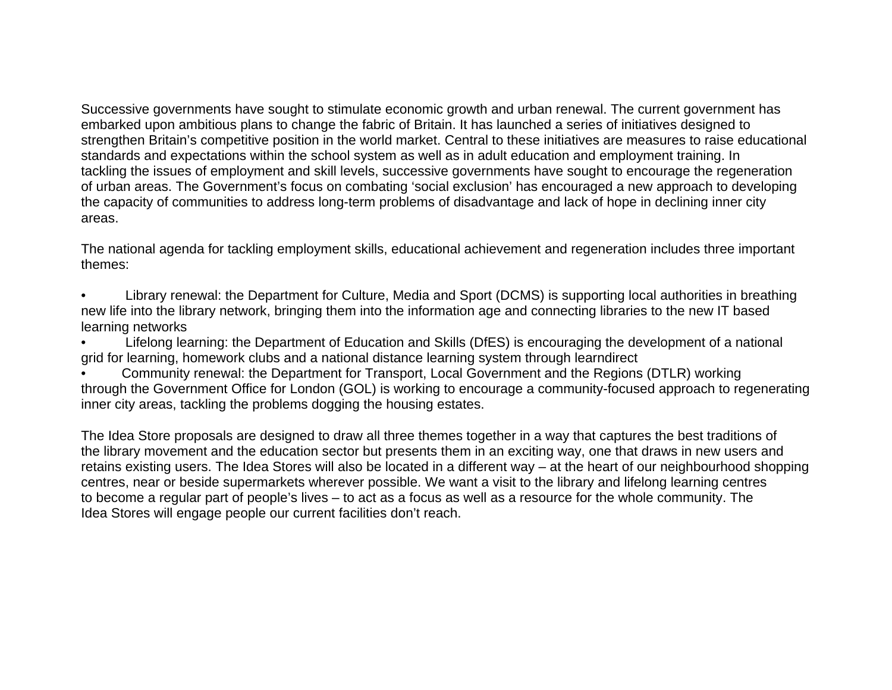Successive governments have sought to stimulate economic growth and urban renewal. The current government has embarked upon ambitious plans to change the fabric of Britain. It has launched a series of initiatives designed to strengthen Britain's competitive position in the world market. Central to these initiatives are measures to raise educational standards and expectations within the school system as well as in adult education and employment training. In tackling the issues of employment and skill levels, successive governments have sought to encourage the regeneration of urban areas. The Government's focus on combating 'social exclusion' has encouraged a new approach to developing the capacity of communities to address long-term problems of disadvantage and lack of hope in declining inner city areas.

The national agenda for tackling employment skills, educational achievement and regeneration includes three important themes:

- Library renewal: the Department for Culture, Media and Sport (DCMS) is supporting local authorities in breathing new life into the library network, bringing them into the information age and connecting libraries to the new IT based learning networks
- Lifelong learning: the Department of Education and Skills (DfES) is encouraging the development of a national grid for learning, homework clubs and a national distance learning system through learndirect
- Community renewal: the Department for Transport, Local Government and the Regions (DTLR) working through the Government Office for London (GOL) is working to encourage a community-focused approach to regenerating inner city areas, tackling the problems dogging the housing estates.

The Idea Store proposals are designed to draw all three themes together in a way that captures the best traditions of the library movement and the education sector but presents them in an exciting way, one that draws in new users and retains existing users. The Idea Stores will also be located in a different way – at the heart of our neighbourhood shopping centres, near or beside supermarkets wherever possible. We want a visit to the library and lifelong learning centres to become a regular part of people's lives – to act as a focus as well as a resource for the whole community. The Idea Stores will engage people our current facilities don't reach.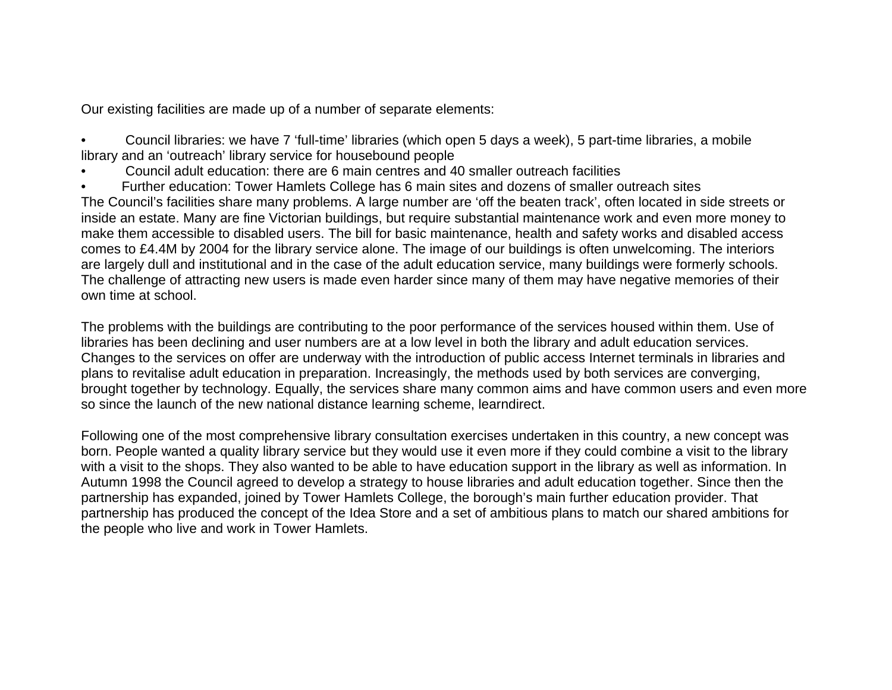Our existing facilities are made up of a number of separate elements:

• Council libraries: we have 7 'full-time' libraries (which open 5 days a week), 5 part-time libraries, a mobile library and an 'outreach' library service for housebound people

- Council adult education: there are 6 main centres and 40 smaller outreach facilities
- Further education: Tower Hamlets College has 6 main sites and dozens of smaller outreach sites

The Council's facilities share many problems. A large number are 'off the beaten track', often located in side streets or inside an estate. Many are fine Victorian buildings, but require substantial maintenance work and even more money to make them accessible to disabled users. The bill for basic maintenance, health and safety works and disabled access comes to £4.4M by 2004 for the library service alone. The image of our buildings is often unwelcoming. The interiors are largely dull and institutional and in the case of the adult education service, many buildings were formerly schools. The challenge of attracting new users is made even harder since many of them may have negative memories of their own time at school.

The problems with the buildings are contributing to the poor performance of the services housed within them. Use of libraries has been declining and user numbers are at a low level in both the library and adult education services. Changes to the services on offer are underway with the introduction of public access Internet terminals in libraries and plans to revitalise adult education in preparation. Increasingly, the methods used by both services are converging, brought together by technology. Equally, the services share many common aims and have common users and even more so since the launch of the new national distance learning scheme, learndirect.

Following one of the most comprehensive library consultation exercises undertaken in this country, a new concept was born. People wanted a quality library service but they would use it even more if they could combine a visit to the library with a visit to the shops. They also wanted to be able to have education support in the library as well as information. In Autumn 1998 the Council agreed to develop a strategy to house libraries and adult education together. Since then the partnership has expanded, joined by Tower Hamlets College, the borough's main further education provider. That partnership has produced the concept of the Idea Store and a set of ambitious plans to match our shared ambitions for the people who live and work in Tower Hamlets.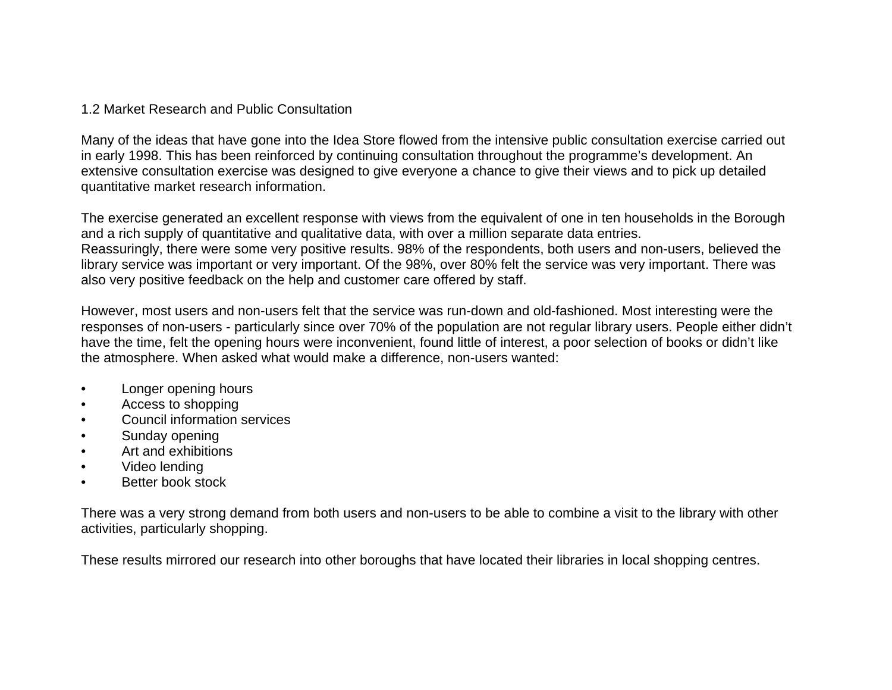## 1.2 Market Research and Public Consultation

Many of the ideas that have gone into the Idea Store flowed from the intensive public consultation exercise carried out in early 1998. This has been reinforced by continuing consultation throughout the programme's development. An extensive consultation exercise was designed to give everyone a chance to give their views and to pick up detailed quantitative market research information.

The exercise generated an excellent response with views from the equivalent of one in ten households in the Borough and a rich supply of quantitative and qualitative data, with over a million separate data entries. Reassuringly, there were some very positive results. 98% of the respondents, both users and non-users, believed the library service was important or very important. Of the 98%, over 80% felt the service was very important. There was also very positive feedback on the help and customer care offered by staff.

However, most users and non-users felt that the service was run-down and old-fashioned. Most interesting were the responses of non-users - particularly since over 70% of the population are not regular library users. People either didn't have the time, felt the opening hours were inconvenient, found little of interest, a poor selection of books or didn't like the atmosphere. When asked what would make a difference, non-users wanted:

- Longer opening hours
- Access to shopping
- Council information services
- Sunday opening
- Art and exhibitions
- Video lending
- Better book stock

There was a very strong demand from both users and non-users to be able to combine a visit to the library with other activities, particularly shopping.

These results mirrored our research into other boroughs that have located their libraries in local shopping centres.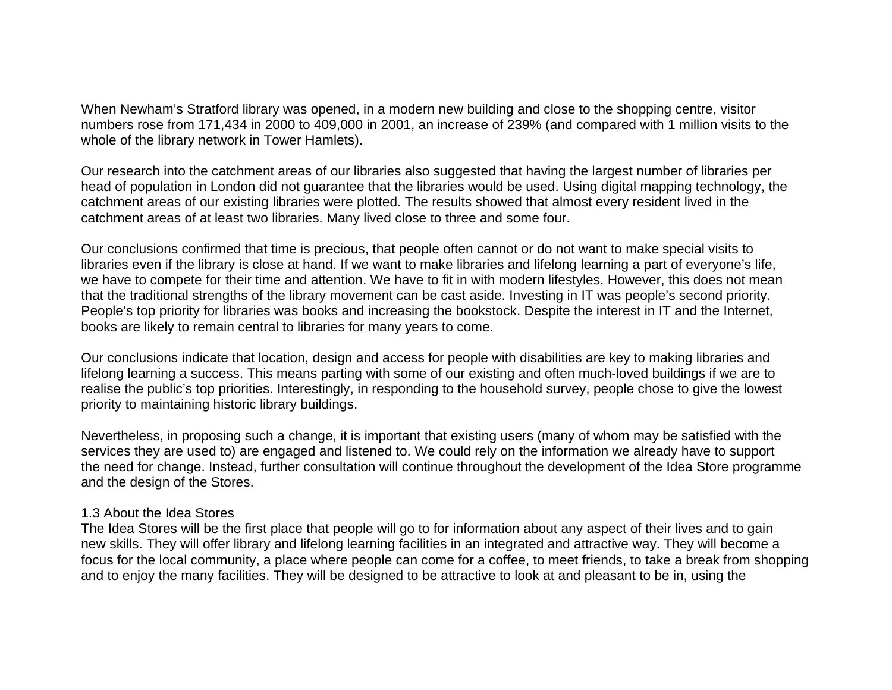When Newham's Stratford library was opened, in a modern new building and close to the shopping centre, visitor numbers rose from 171,434 in 2000 to 409,000 in 2001, an increase of 239% (and compared with 1 million visits to the whole of the library network in Tower Hamlets).

Our research into the catchment areas of our libraries also suggested that having the largest number of libraries per head of population in London did not guarantee that the libraries would be used. Using digital mapping technology, the catchment areas of our existing libraries were plotted. The results showed that almost every resident lived in the catchment areas of at least two libraries. Many lived close to three and some four.

Our conclusions confirmed that time is precious, that people often cannot or do not want to make special visits to libraries even if the library is close at hand. If we want to make libraries and lifelong learning a part of everyone's life, we have to compete for their time and attention. We have to fit in with modern lifestyles. However, this does not mean that the traditional strengths of the library movement can be cast aside. Investing in IT was people's second priority. People's top priority for libraries was books and increasing the bookstock. Despite the interest in IT and the Internet, books are likely to remain central to libraries for many years to come.

Our conclusions indicate that location, design and access for people with disabilities are key to making libraries and lifelong learning a success. This means parting with some of our existing and often much-loved buildings if we are to realise the public's top priorities. Interestingly, in responding to the household survey, people chose to give the lowest priority to maintaining historic library buildings.

Nevertheless, in proposing such a change, it is important that existing users (many of whom may be satisfied with the services they are used to) are engaged and listened to. We could rely on the information we already have to support the need for change. Instead, further consultation will continue throughout the development of the Idea Store programme and the design of the Stores.

#### 1.3 About the Idea Stores

The Idea Stores will be the first place that people will go to for information about any aspect of their lives and to gain new skills. They will offer library and lifelong learning facilities in an integrated and attractive way. They will become a focus for the local community, a place where people can come for a coffee, to meet friends, to take a break from shopping and to enjoy the many facilities. They will be designed to be attractive to look at and pleasant to be in, using the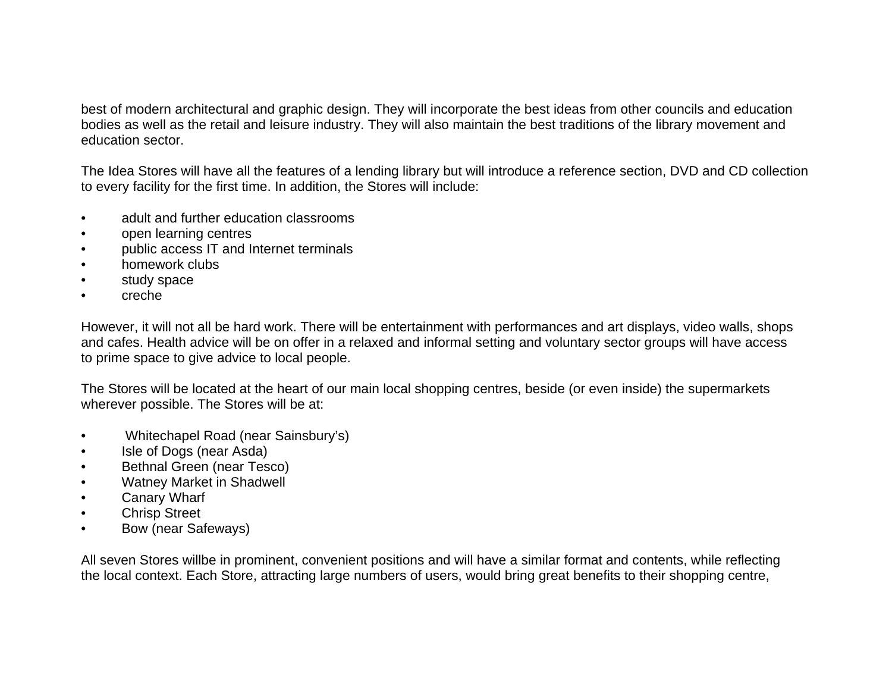best of modern architectural and graphic design. They will incorporate the best ideas from other councils and education bodies as well as the retail and leisure industry. They will also maintain the best traditions of the library movement and education sector.

The Idea Stores will have all the features of a lending library but will introduce a reference section, DVD and CD collection to every facility for the first time. In addition, the Stores will include:

- adult and further education classrooms
- open learning centres
- public access IT and Internet terminals
- homework clubs
- study space
- creche

However, it will not all be hard work. There will be entertainment with performances and art displays, video walls, shops and cafes. Health advice will be on offer in a relaxed and informal setting and voluntary sector groups will have access to prime space to give advice to local people.

The Stores will be located at the heart of our main local shopping centres, beside (or even inside) the supermarkets wherever possible. The Stores will be at:

- Whitechapel Road (near Sainsbury's)
- Isle of Dogs (near Asda)
- Bethnal Green (near Tesco)
- Watney Market in Shadwell
- Canary Wharf
- Chrisp Street
- Bow (near Safeways)

All seven Stores willbe in prominent, convenient positions and will have a similar format and contents, while reflecting the local context. Each Store, attracting large numbers of users, would bring great benefits to their shopping centre,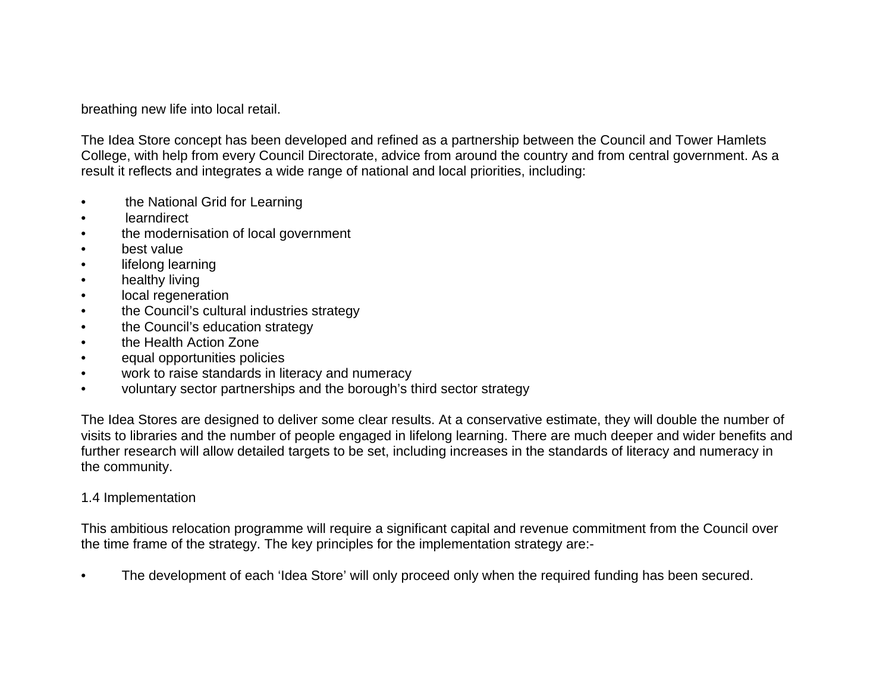breathing new life into local retail.

The Idea Store concept has been developed and refined as a partnership between the Council and Tower Hamlets College, with help from every Council Directorate, advice from around the country and from central government. As a result it reflects and integrates a wide range of national and local priorities, including:

- the National Grid for Learning
- learndirect
- the modernisation of local government
- best value
- lifelong learning
- healthy living
- local regeneration
- the Council's cultural industries strategy
- the Council's education strategy
- the Health Action Zone
- equal opportunities policies
- work to raise standards in literacy and numeracy
- voluntary sector partnerships and the borough's third sector strategy

The Idea Stores are designed to deliver some clear results. At a conservative estimate, they will double the number of visits to libraries and the number of people engaged in lifelong learning. There are much deeper and wider benefits and further research will allow detailed targets to be set, including increases in the standards of literacy and numeracy in the community.

### 1.4 Implementation

This ambitious relocation programme will require a significant capital and revenue commitment from the Council over the time frame of the strategy. The key principles for the implementation strategy are:-

• The development of each 'Idea Store' will only proceed only when the required funding has been secured.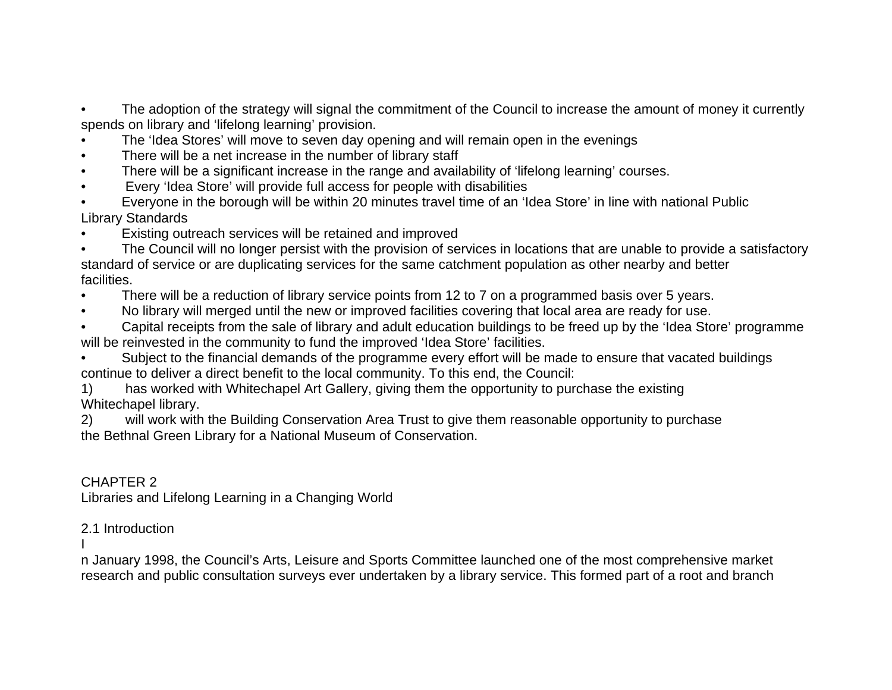• The adoption of the strategy will signal the commitment of the Council to increase the amount of money it currently spends on library and 'lifelong learning' provision.

- The 'Idea Stores' will move to seven day opening and will remain open in the evenings
- There will be a net increase in the number of library staff
- There will be a significant increase in the range and availability of 'lifelong learning' courses.
- Every 'Idea Store' will provide full access for people with disabilities
- Everyone in the borough will be within 20 minutes travel time of an 'Idea Store' in line with national Public Library Standards
- Existing outreach services will be retained and improved

• The Council will no longer persist with the provision of services in locations that are unable to provide a satisfactory standard of service or are duplicating services for the same catchment population as other nearby and better facilities.

- There will be a reduction of library service points from 12 to 7 on a programmed basis over 5 years.
- No library will merged until the new or improved facilities covering that local area are ready for use.

• Capital receipts from the sale of library and adult education buildings to be freed up by the 'Idea Store' programme will be reinvested in the community to fund the improved 'Idea Store' facilities.

• Subject to the financial demands of the programme every effort will be made to ensure that vacated buildings continue to deliver a direct benefit to the local community. To this end, the Council:

1) has worked with Whitechapel Art Gallery, giving them the opportunity to purchase the existing Whitechapel library.

2) will work with the Building Conservation Area Trust to give them reasonable opportunity to purchase the Bethnal Green Library for a National Museum of Conservation.

# CHAPTER 2

Libraries and Lifelong Learning in a Changing World

# 2.1 Introduction

I

n January 1998, the Council's Arts, Leisure and Sports Committee launched one of the most comprehensive market research and public consultation surveys ever undertaken by a library service. This formed part of a root and branch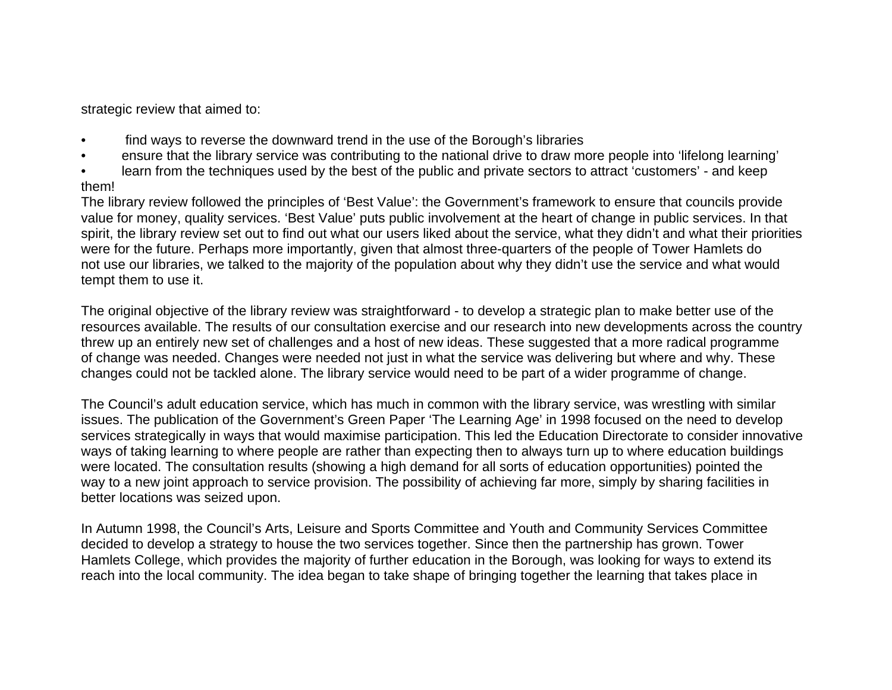strategic review that aimed to:

- find ways to reverse the downward trend in the use of the Borough's libraries
- ensure that the library service was contributing to the national drive to draw more people into 'lifelong learning'
- learn from the techniques used by the best of the public and private sectors to attract 'customers' and keep them!

The library review followed the principles of 'Best Value': the Government's framework to ensure that councils provide value for money, quality services. 'Best Value' puts public involvement at the heart of change in public services. In that spirit, the library review set out to find out what our users liked about the service, what they didn't and what their priorities were for the future. Perhaps more importantly, given that almost three-quarters of the people of Tower Hamlets do not use our libraries, we talked to the majority of the population about why they didn't use the service and what would tempt them to use it.

The original objective of the library review was straightforward - to develop a strategic plan to make better use of the resources available. The results of our consultation exercise and our research into new developments across the country threw up an entirely new set of challenges and a host of new ideas. These suggested that a more radical programme of change was needed. Changes were needed not just in what the service was delivering but where and why. These changes could not be tackled alone. The library service would need to be part of a wider programme of change.

The Council's adult education service, which has much in common with the library service, was wrestling with similar issues. The publication of the Government's Green Paper 'The Learning Age' in 1998 focused on the need to develop services strategically in ways that would maximise participation. This led the Education Directorate to consider innovative ways of taking learning to where people are rather than expecting then to always turn up to where education buildings were located. The consultation results (showing a high demand for all sorts of education opportunities) pointed the way to a new joint approach to service provision. The possibility of achieving far more, simply by sharing facilities in better locations was seized upon.

In Autumn 1998, the Council's Arts, Leisure and Sports Committee and Youth and Community Services Committee decided to develop a strategy to house the two services together. Since then the partnership has grown. Tower Hamlets College, which provides the majority of further education in the Borough, was looking for ways to extend its reach into the local community. The idea began to take shape of bringing together the learning that takes place in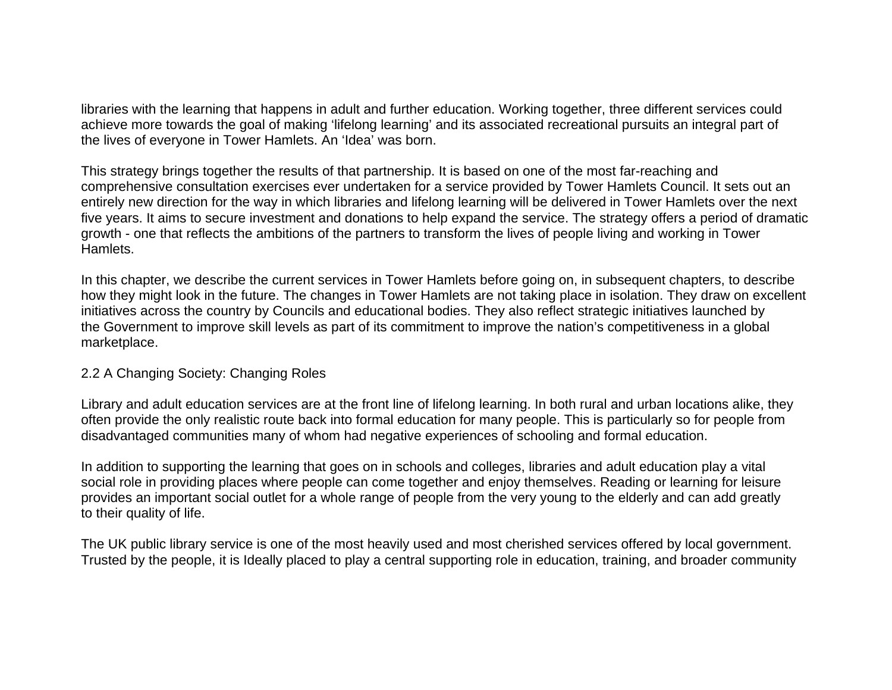libraries with the learning that happens in adult and further education. Working together, three different services could achieve more towards the goal of making 'lifelong learning' and its associated recreational pursuits an integral part of the lives of everyone in Tower Hamlets. An 'Idea' was born.

This strategy brings together the results of that partnership. It is based on one of the most far-reaching and comprehensive consultation exercises ever undertaken for a service provided by Tower Hamlets Council. It sets out an entirely new direction for the way in which libraries and lifelong learning will be delivered in Tower Hamlets over the next five years. It aims to secure investment and donations to help expand the service. The strategy offers a period of dramatic growth - one that reflects the ambitions of the partners to transform the lives of people living and working in Tower Hamlets.

In this chapter, we describe the current services in Tower Hamlets before going on, in subsequent chapters, to describe how they might look in the future. The changes in Tower Hamlets are not taking place in isolation. They draw on excellent initiatives across the country by Councils and educational bodies. They also reflect strategic initiatives launched by the Government to improve skill levels as part of its commitment to improve the nation's competitiveness in a global marketplace.

### 2.2 A Changing Society: Changing Roles

Library and adult education services are at the front line of lifelong learning. In both rural and urban locations alike, they often provide the only realistic route back into formal education for many people. This is particularly so for people from disadvantaged communities many of whom had negative experiences of schooling and formal education.

In addition to supporting the learning that goes on in schools and colleges, libraries and adult education play a vital social role in providing places where people can come together and enjoy themselves. Reading or learning for leisure provides an important social outlet for a whole range of people from the very young to the elderly and can add greatly to their quality of life.

The UK public library service is one of the most heavily used and most cherished services offered by local government. Trusted by the people, it is Ideally placed to play a central supporting role in education, training, and broader community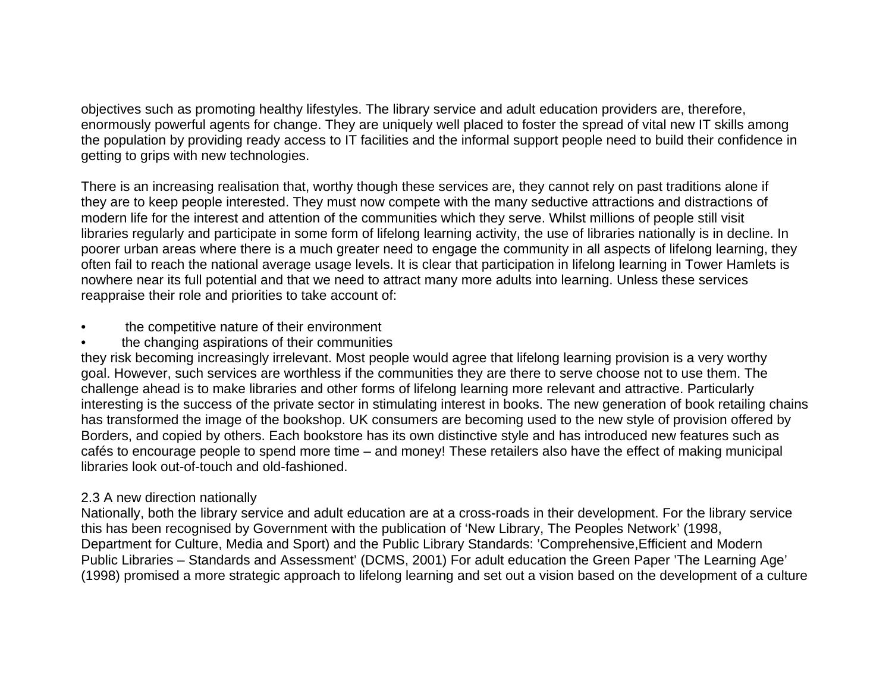objectives such as promoting healthy lifestyles. The library service and adult education providers are, therefore, enormously powerful agents for change. They are uniquely well placed to foster the spread of vital new IT skills among the population by providing ready access to IT facilities and the informal support people need to build their confidence in getting to grips with new technologies.

There is an increasing realisation that, worthy though these services are, they cannot rely on past traditions alone if they are to keep people interested. They must now compete with the many seductive attractions and distractions of modern life for the interest and attention of the communities which they serve. Whilst millions of people still visit libraries regularly and participate in some form of lifelong learning activity, the use of libraries nationally is in decline. In poorer urban areas where there is a much greater need to engage the community in all aspects of lifelong learning, they often fail to reach the national average usage levels. It is clear that participation in lifelong learning in Tower Hamlets is nowhere near its full potential and that we need to attract many more adults into learning. Unless these services reappraise their role and priorities to take account of:

- the competitive nature of their environment
- the changing aspirations of their communities

they risk becoming increasingly irrelevant. Most people would agree that lifelong learning provision is a very worthy goal. However, such services are worthless if the communities they are there to serve choose not to use them. The challenge ahead is to make libraries and other forms of lifelong learning more relevant and attractive. Particularly interesting is the success of the private sector in stimulating interest in books. The new generation of book retailing chains has transformed the image of the bookshop. UK consumers are becoming used to the new style of provision offered by Borders, and copied by others. Each bookstore has its own distinctive style and has introduced new features such as cafés to encourage people to spend more time – and money! These retailers also have the effect of making municipal libraries look out-of-touch and old-fashioned.

# 2.3 A new direction nationally

Nationally, both the library service and adult education are at a cross-roads in their development. For the library service this has been recognised by Government with the publication of 'New Library, The Peoples Network' (1998, Department for Culture, Media and Sport) and the Public Library Standards: 'Comprehensive,Efficient and Modern Public Libraries – Standards and Assessment' (DCMS, 2001) For adult education the Green Paper 'The Learning Age' (1998) promised a more strategic approach to lifelong learning and set out a vision based on the development of a culture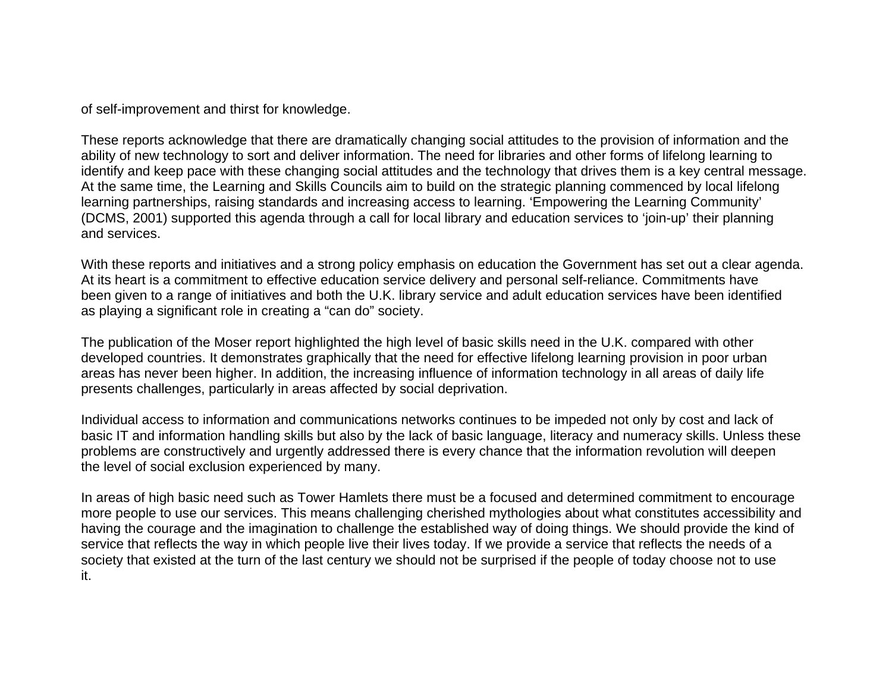of self-improvement and thirst for knowledge.

These reports acknowledge that there are dramatically changing social attitudes to the provision of information and the ability of new technology to sort and deliver information. The need for libraries and other forms of lifelong learning to identify and keep pace with these changing social attitudes and the technology that drives them is a key central message. At the same time, the Learning and Skills Councils aim to build on the strategic planning commenced by local lifelong learning partnerships, raising standards and increasing access to learning. 'Empowering the Learning Community' (DCMS, 2001) supported this agenda through a call for local library and education services to 'join-up' their planning and services.

With these reports and initiatives and a strong policy emphasis on education the Government has set out a clear agenda. At its heart is a commitment to effective education service delivery and personal self-reliance. Commitments have been given to a range of initiatives and both the U.K. library service and adult education services have been identified as playing a significant role in creating a "can do" society.

The publication of the Moser report highlighted the high level of basic skills need in the U.K. compared with other developed countries. It demonstrates graphically that the need for effective lifelong learning provision in poor urban areas has never been higher. In addition, the increasing influence of information technology in all areas of daily life presents challenges, particularly in areas affected by social deprivation.

Individual access to information and communications networks continues to be impeded not only by cost and lack of basic IT and information handling skills but also by the lack of basic language, literacy and numeracy skills. Unless these problems are constructively and urgently addressed there is every chance that the information revolution will deepen the level of social exclusion experienced by many.

In areas of high basic need such as Tower Hamlets there must be a focused and determined commitment to encourage more people to use our services. This means challenging cherished mythologies about what constitutes accessibility and having the courage and the imagination to challenge the established way of doing things. We should provide the kind of service that reflects the way in which people live their lives today. If we provide a service that reflects the needs of a society that existed at the turn of the last century we should not be surprised if the people of today choose not to use it.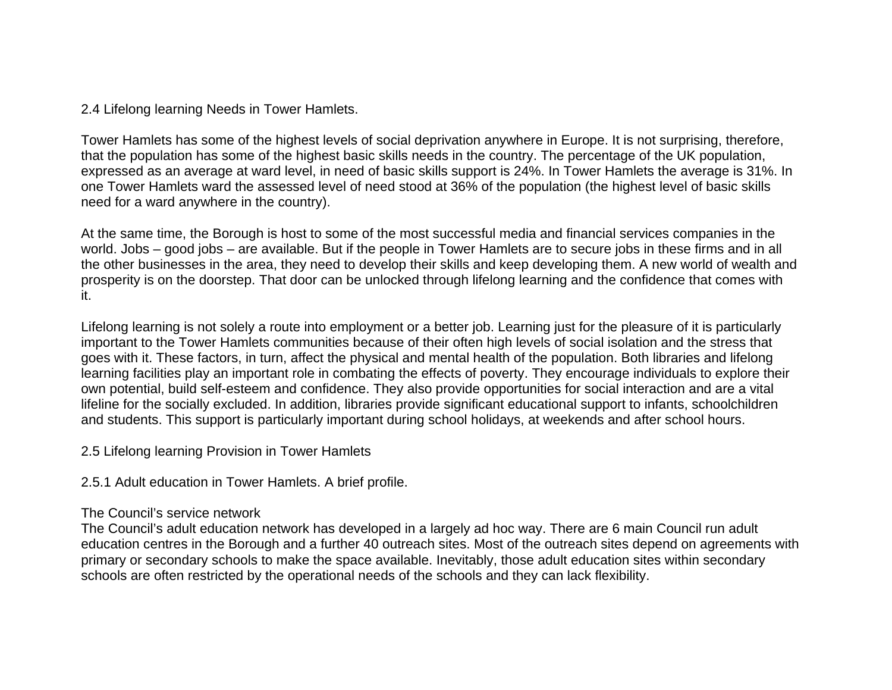2.4 Lifelong learning Needs in Tower Hamlets.

Tower Hamlets has some of the highest levels of social deprivation anywhere in Europe. It is not surprising, therefore, that the population has some of the highest basic skills needs in the country. The percentage of the UK population, expressed as an average at ward level, in need of basic skills support is 24%. In Tower Hamlets the average is 31%. In one Tower Hamlets ward the assessed level of need stood at 36% of the population (the highest level of basic skills need for a ward anywhere in the country).

At the same time, the Borough is host to some of the most successful media and financial services companies in the world. Jobs – good jobs – are available. But if the people in Tower Hamlets are to secure jobs in these firms and in all the other businesses in the area, they need to develop their skills and keep developing them. A new world of wealth and prosperity is on the doorstep. That door can be unlocked through lifelong learning and the confidence that comes with it.

Lifelong learning is not solely a route into employment or a better job. Learning just for the pleasure of it is particularly important to the Tower Hamlets communities because of their often high levels of social isolation and the stress that goes with it. These factors, in turn, affect the physical and mental health of the population. Both libraries and lifelong learning facilities play an important role in combating the effects of poverty. They encourage individuals to explore their own potential, build self-esteem and confidence. They also provide opportunities for social interaction and are a vital lifeline for the socially excluded. In addition, libraries provide significant educational support to infants, schoolchildren and students. This support is particularly important during school holidays, at weekends and after school hours.

2.5 Lifelong learning Provision in Tower Hamlets

2.5.1 Adult education in Tower Hamlets. A brief profile.

### The Council's service network

The Council's adult education network has developed in a largely ad hoc way. There are 6 main Council run adult education centres in the Borough and a further 40 outreach sites. Most of the outreach sites depend on agreements with primary or secondary schools to make the space available. Inevitably, those adult education sites within secondary schools are often restricted by the operational needs of the schools and they can lack flexibility.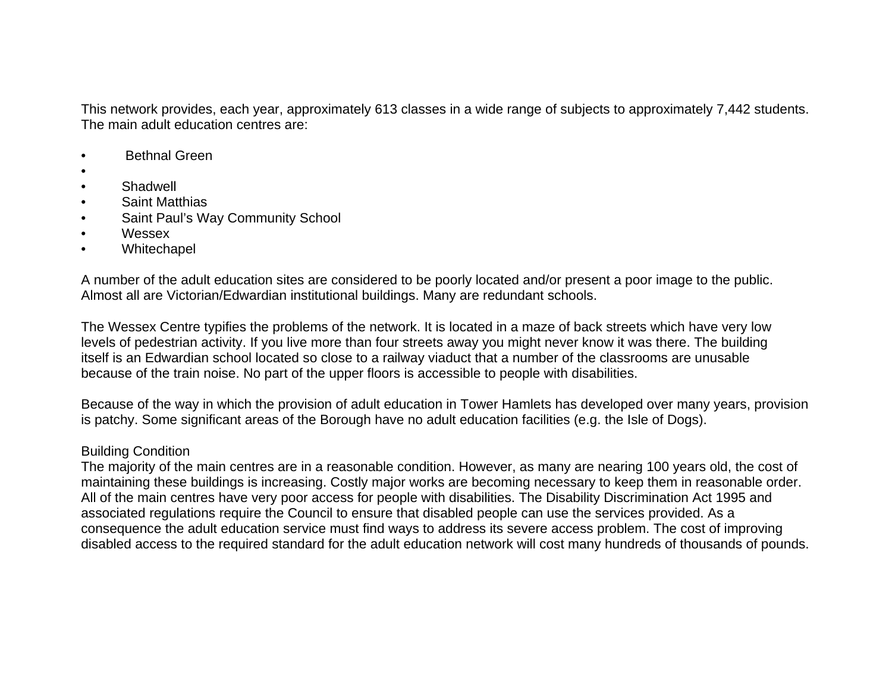This network provides, each year, approximately 613 classes in a wide range of subjects to approximately 7,442 students. The main adult education centres are:

- Bethnal Green
- •
- **Shadwell**
- Saint Matthias
- Saint Paul's Way Community School
- Wessex
- Whitechapel

A number of the adult education sites are considered to be poorly located and/or present a poor image to the public. Almost all are Victorian/Edwardian institutional buildings. Many are redundant schools.

The Wessex Centre typifies the problems of the network. It is located in a maze of back streets which have very low levels of pedestrian activity. If you live more than four streets away you might never know it was there. The building itself is an Edwardian school located so close to a railway viaduct that a number of the classrooms are unusable because of the train noise. No part of the upper floors is accessible to people with disabilities.

Because of the way in which the provision of adult education in Tower Hamlets has developed over many years, provision is patchy. Some significant areas of the Borough have no adult education facilities (e.g. the Isle of Dogs).

### Building Condition

The majority of the main centres are in a reasonable condition. However, as many are nearing 100 years old, the cost of maintaining these buildings is increasing. Costly major works are becoming necessary to keep them in reasonable order. All of the main centres have very poor access for people with disabilities. The Disability Discrimination Act 1995 and associated regulations require the Council to ensure that disabled people can use the services provided. As a consequence the adult education service must find ways to address its severe access problem. The cost of improving disabled access to the required standard for the adult education network will cost many hundreds of thousands of pounds.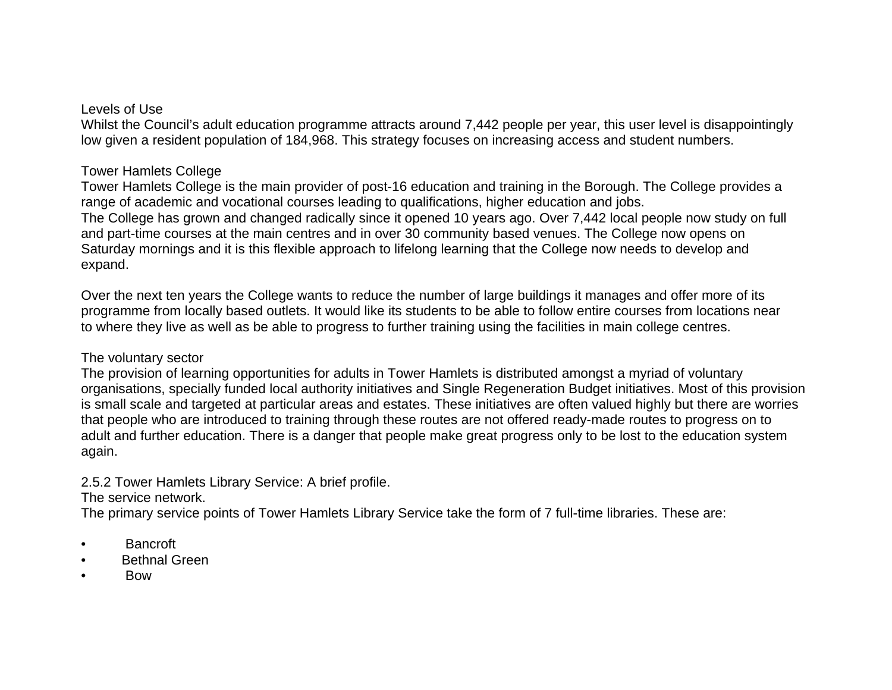#### Levels of Use

Whilst the Council's adult education programme attracts around 7,442 people per year, this user level is disappointingly low given a resident population of 184,968. This strategy focuses on increasing access and student numbers.

## Tower Hamlets College

Tower Hamlets College is the main provider of post-16 education and training in the Borough. The College provides a range of academic and vocational courses leading to qualifications, higher education and jobs. The College has grown and changed radically since it opened 10 years ago. Over 7,442 local people now study on full and part-time courses at the main centres and in over 30 community based venues. The College now opens on Saturday mornings and it is this flexible approach to lifelong learning that the College now needs to develop and expand.

Over the next ten years the College wants to reduce the number of large buildings it manages and offer more of its programme from locally based outlets. It would like its students to be able to follow entire courses from locations near to where they live as well as be able to progress to further training using the facilities in main college centres.

## The voluntary sector

The provision of learning opportunities for adults in Tower Hamlets is distributed amongst a myriad of voluntary organisations, specially funded local authority initiatives and Single Regeneration Budget initiatives. Most of this provision is small scale and targeted at particular areas and estates. These initiatives are often valued highly but there are worries that people who are introduced to training through these routes are not offered ready-made routes to progress on to adult and further education. There is a danger that people make great progress only to be lost to the education system again.

2.5.2 Tower Hamlets Library Service: A brief profile.

## The service network.

The primary service points of Tower Hamlets Library Service take the form of 7 full-time libraries. These are:

- Bancroft
- **Bethnal Green**
- Bow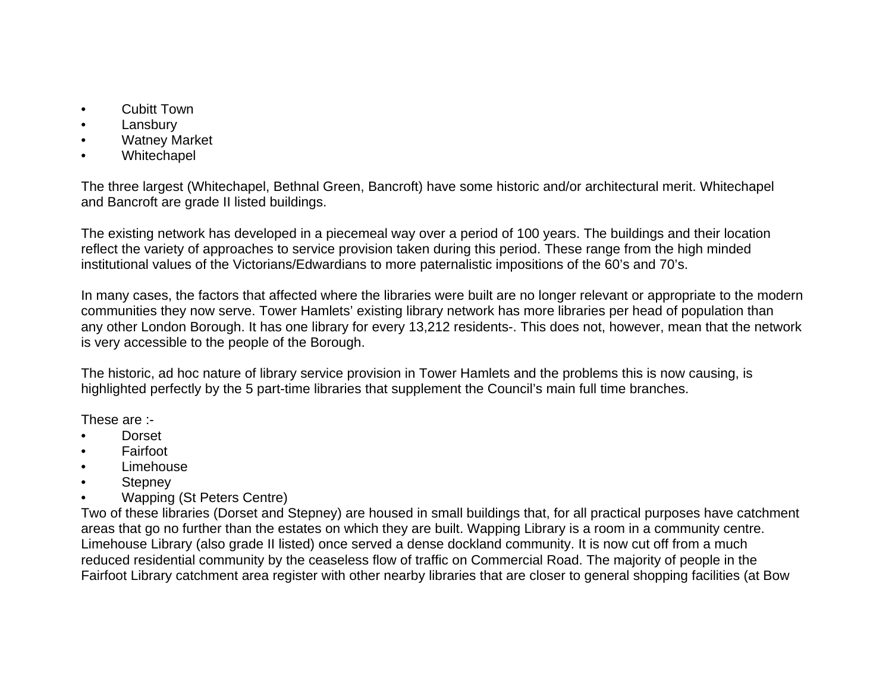- Cubitt Town
- **Lansbury**
- **Watney Market**
- **Whitechapel**

The three largest (Whitechapel, Bethnal Green, Bancroft) have some historic and/or architectural merit. Whitechapel and Bancroft are grade II listed buildings.

The existing network has developed in a piecemeal way over a period of 100 years. The buildings and their location reflect the variety of approaches to service provision taken during this period. These range from the high minded institutional values of the Victorians/Edwardians to more paternalistic impositions of the 60's and 70's.

In many cases, the factors that affected where the libraries were built are no longer relevant or appropriate to the modern communities they now serve. Tower Hamlets' existing library network has more libraries per head of population than any other London Borough. It has one library for every 13,212 residents-. This does not, however, mean that the network is very accessible to the people of the Borough.

The historic, ad hoc nature of library service provision in Tower Hamlets and the problems this is now causing, is highlighted perfectly by the 5 part-time libraries that supplement the Council's main full time branches.

These are :-

- Dorset
- Fairfoot
- Limehouse
- **Stepney**
- Wapping (St Peters Centre)

Two of these libraries (Dorset and Stepney) are housed in small buildings that, for all practical purposes have catchment areas that go no further than the estates on which they are built. Wapping Library is a room in a community centre. Limehouse Library (also grade II listed) once served a dense dockland community. It is now cut off from a much reduced residential community by the ceaseless flow of traffic on Commercial Road. The majority of people in the Fairfoot Library catchment area register with other nearby libraries that are closer to general shopping facilities (at Bow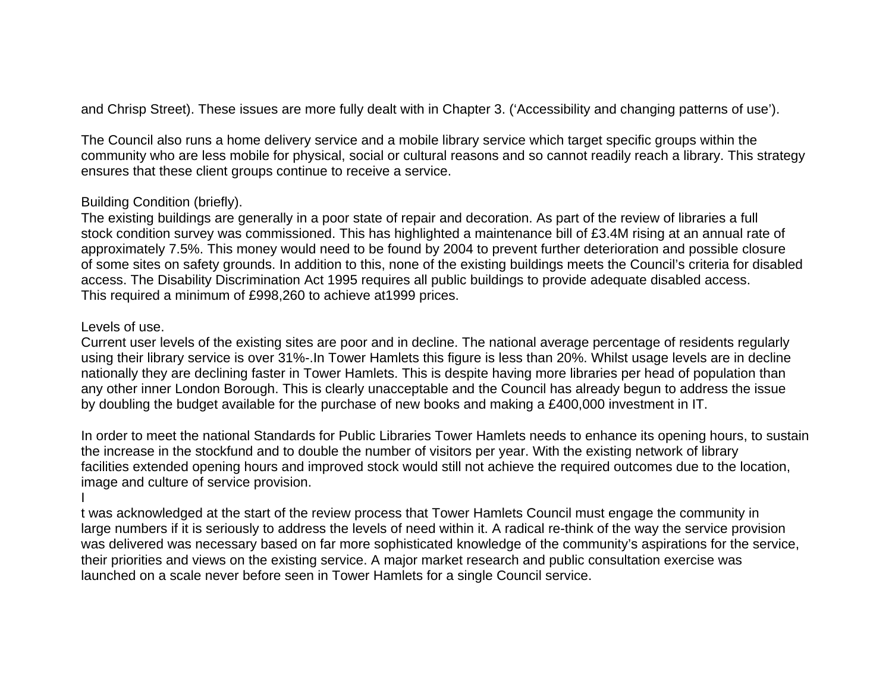and Chrisp Street). These issues are more fully dealt with in Chapter 3. ('Accessibility and changing patterns of use').

The Council also runs a home delivery service and a mobile library service which target specific groups within the community who are less mobile for physical, social or cultural reasons and so cannot readily reach a library. This strategy ensures that these client groups continue to receive a service.

### Building Condition (briefly).

The existing buildings are generally in a poor state of repair and decoration. As part of the review of libraries a full stock condition survey was commissioned. This has highlighted a maintenance bill of £3.4M rising at an annual rate of approximately 7.5%. This money would need to be found by 2004 to prevent further deterioration and possible closure of some sites on safety grounds. In addition to this, none of the existing buildings meets the Council's criteria for disabled access. The Disability Discrimination Act 1995 requires all public buildings to provide adequate disabled access. This required a minimum of £998,260 to achieve at1999 prices.

#### Levels of use.

I

Current user levels of the existing sites are poor and in decline. The national average percentage of residents regularly using their library service is over 31%-.In Tower Hamlets this figure is less than 20%. Whilst usage levels are in decline nationally they are declining faster in Tower Hamlets. This is despite having more libraries per head of population than any other inner London Borough. This is clearly unacceptable and the Council has already begun to address the issue by doubling the budget available for the purchase of new books and making a £400,000 investment in IT.

In order to meet the national Standards for Public Libraries Tower Hamlets needs to enhance its opening hours, to sustain the increase in the stockfund and to double the number of visitors per year. With the existing network of library facilities extended opening hours and improved stock would still not achieve the required outcomes due to the location, image and culture of service provision.

t was acknowledged at the start of the review process that Tower Hamlets Council must engage the community in large numbers if it is seriously to address the levels of need within it. A radical re-think of the way the service provision was delivered was necessary based on far more sophisticated knowledge of the community's aspirations for the service, their priorities and views on the existing service. A major market research and public consultation exercise was launched on a scale never before seen in Tower Hamlets for a single Council service.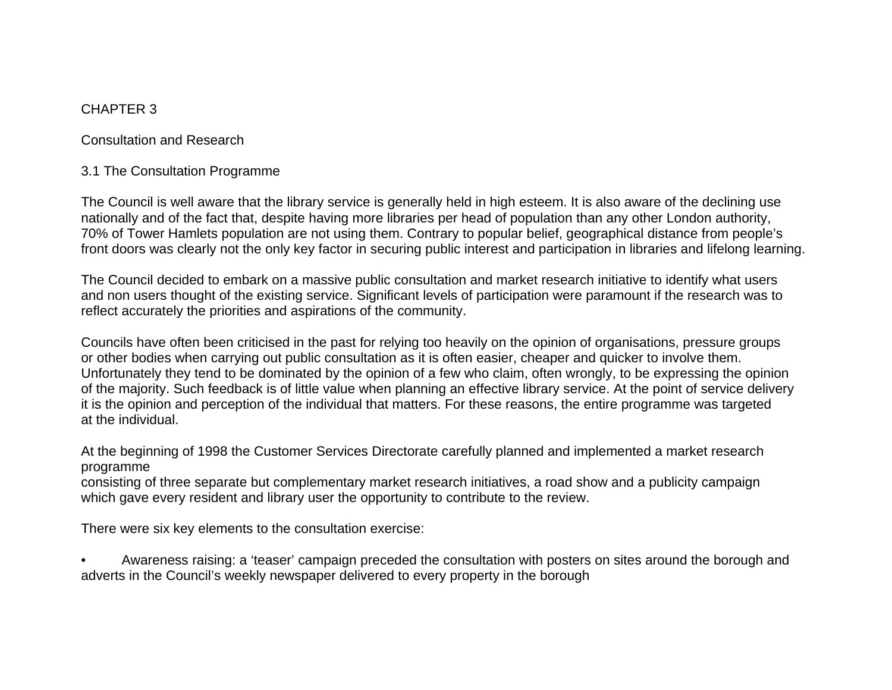## CHAPTER 3

Consultation and Research

## 3.1 The Consultation Programme

The Council is well aware that the library service is generally held in high esteem. It is also aware of the declining use nationally and of the fact that, despite having more libraries per head of population than any other London authority, 70% of Tower Hamlets population are not using them. Contrary to popular belief, geographical distance from people's front doors was clearly not the only key factor in securing public interest and participation in libraries and lifelong learning.

The Council decided to embark on a massive public consultation and market research initiative to identify what users and non users thought of the existing service. Significant levels of participation were paramount if the research was to reflect accurately the priorities and aspirations of the community.

Councils have often been criticised in the past for relying too heavily on the opinion of organisations, pressure groups or other bodies when carrying out public consultation as it is often easier, cheaper and quicker to involve them. Unfortunately they tend to be dominated by the opinion of a few who claim, often wrongly, to be expressing the opinion of the majority. Such feedback is of little value when planning an effective library service. At the point of service delivery it is the opinion and perception of the individual that matters. For these reasons, the entire programme was targeted at the individual.

At the beginning of 1998 the Customer Services Directorate carefully planned and implemented a market research programme

consisting of three separate but complementary market research initiatives, a road show and a publicity campaign which gave every resident and library user the opportunity to contribute to the review.

There were six key elements to the consultation exercise:

• Awareness raising: a 'teaser' campaign preceded the consultation with posters on sites around the borough and adverts in the Council's weekly newspaper delivered to every property in the borough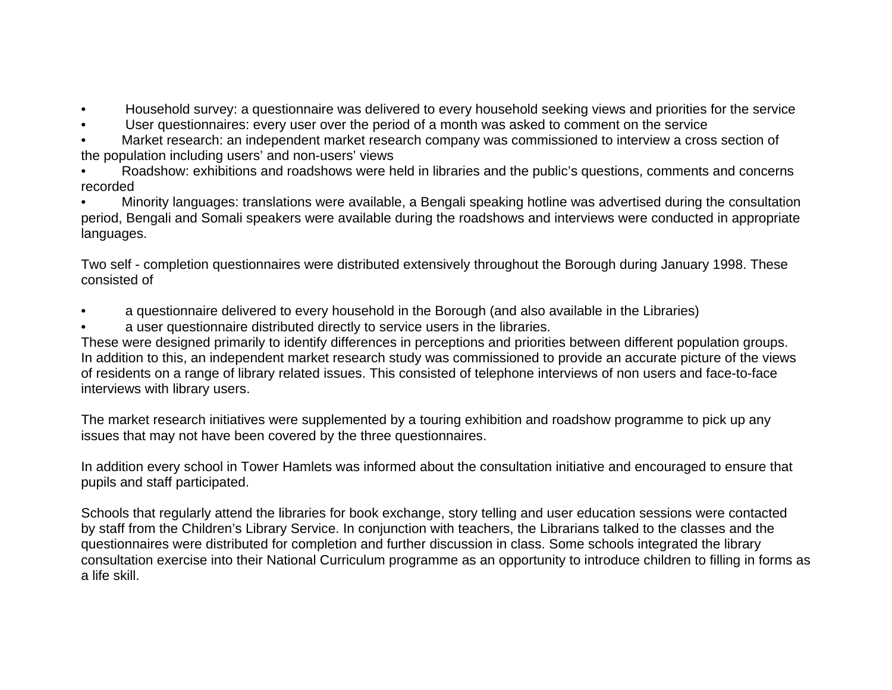- Household survey: a questionnaire was delivered to every household seeking views and priorities for the service
- User questionnaires: every user over the period of a month was asked to comment on the service
- Market research: an independent market research company was commissioned to interview a cross section of the population including users' and non-users' views
- Roadshow: exhibitions and roadshows were held in libraries and the public's questions, comments and concerns recorded

• Minority languages: translations were available, a Bengali speaking hotline was advertised during the consultation period, Bengali and Somali speakers were available during the roadshows and interviews were conducted in appropriate languages.

Two self - completion questionnaires were distributed extensively throughout the Borough during January 1998. These consisted of

- a questionnaire delivered to every household in the Borough (and also available in the Libraries)
- a user questionnaire distributed directly to service users in the libraries.

These were designed primarily to identify differences in perceptions and priorities between different population groups. In addition to this, an independent market research study was commissioned to provide an accurate picture of the views of residents on a range of library related issues. This consisted of telephone interviews of non users and face-to-face interviews with library users.

The market research initiatives were supplemented by a touring exhibition and roadshow programme to pick up any issues that may not have been covered by the three questionnaires.

In addition every school in Tower Hamlets was informed about the consultation initiative and encouraged to ensure that pupils and staff participated.

Schools that regularly attend the libraries for book exchange, story telling and user education sessions were contacted by staff from the Children's Library Service. In conjunction with teachers, the Librarians talked to the classes and the questionnaires were distributed for completion and further discussion in class. Some schools integrated the library consultation exercise into their National Curriculum programme as an opportunity to introduce children to filling in forms as a life skill.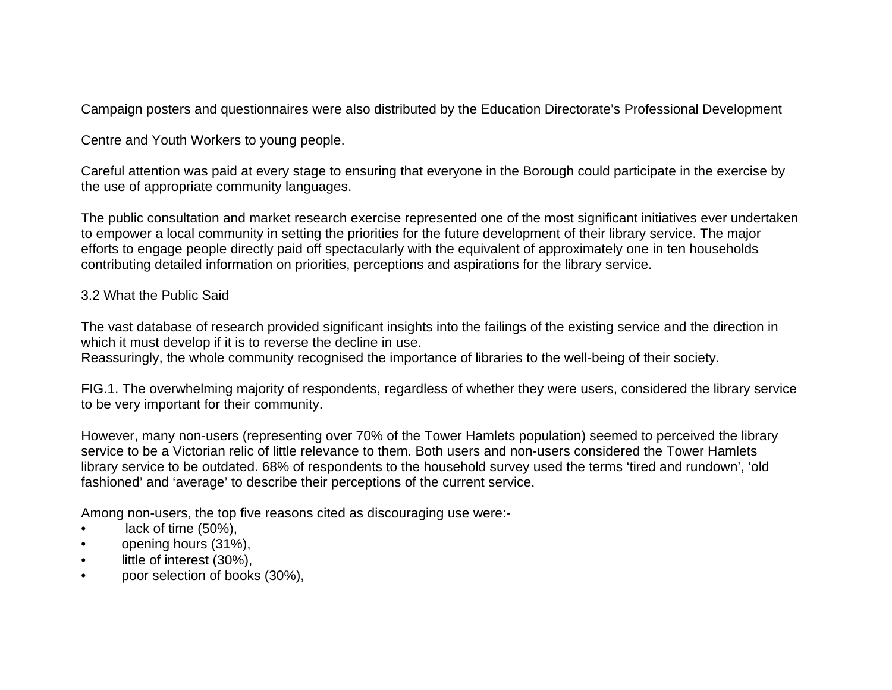Campaign posters and questionnaires were also distributed by the Education Directorate's Professional Development

Centre and Youth Workers to young people.

Careful attention was paid at every stage to ensuring that everyone in the Borough could participate in the exercise by the use of appropriate community languages.

The public consultation and market research exercise represented one of the most significant initiatives ever undertaken to empower a local community in setting the priorities for the future development of their library service. The major efforts to engage people directly paid off spectacularly with the equivalent of approximately one in ten households contributing detailed information on priorities, perceptions and aspirations for the library service.

## 3.2 What the Public Said

The vast database of research provided significant insights into the failings of the existing service and the direction in which it must develop if it is to reverse the decline in use.

Reassuringly, the whole community recognised the importance of libraries to the well-being of their society.

FIG.1. The overwhelming majority of respondents, regardless of whether they were users, considered the library service to be very important for their community.

However, many non-users (representing over 70% of the Tower Hamlets population) seemed to perceived the library service to be a Victorian relic of little relevance to them. Both users and non-users considered the Tower Hamlets library service to be outdated. 68% of respondents to the household survey used the terms 'tired and rundown', 'old fashioned' and 'average' to describe their perceptions of the current service.

Among non-users, the top five reasons cited as discouraging use were:-

- lack of time (50%),
- opening hours (31%),
- little of interest (30%),
- poor selection of books (30%),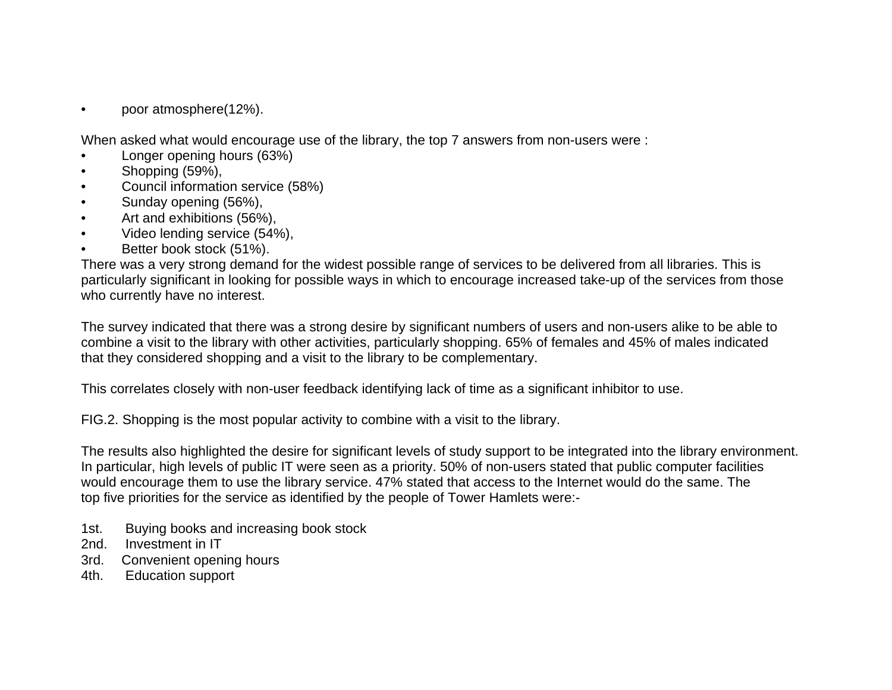• poor atmosphere(12%).

When asked what would encourage use of the library, the top 7 answers from non-users were :

- Longer opening hours (63%)
- Shopping (59%),
- Council information service (58%)
- Sunday opening (56%),
- Art and exhibitions (56%),
- Video lending service (54%),
- Better book stock (51%).

There was a very strong demand for the widest possible range of services to be delivered from all libraries. This is particularly significant in looking for possible ways in which to encourage increased take-up of the services from those who currently have no interest.

The survey indicated that there was a strong desire by significant numbers of users and non-users alike to be able to combine a visit to the library with other activities, particularly shopping. 65% of females and 45% of males indicated that they considered shopping and a visit to the library to be complementary.

This correlates closely with non-user feedback identifying lack of time as a significant inhibitor to use.

FIG.2. Shopping is the most popular activity to combine with a visit to the library.

The results also highlighted the desire for significant levels of study support to be integrated into the library environment. In particular, high levels of public IT were seen as a priority. 50% of non-users stated that public computer facilities would encourage them to use the library service. 47% stated that access to the Internet would do the same. The top five priorities for the service as identified by the people of Tower Hamlets were:-

- 1st. Buying books and increasing book stock
- 2nd. Investment in IT
- 3rd. Convenient opening hours
- 4th. Education support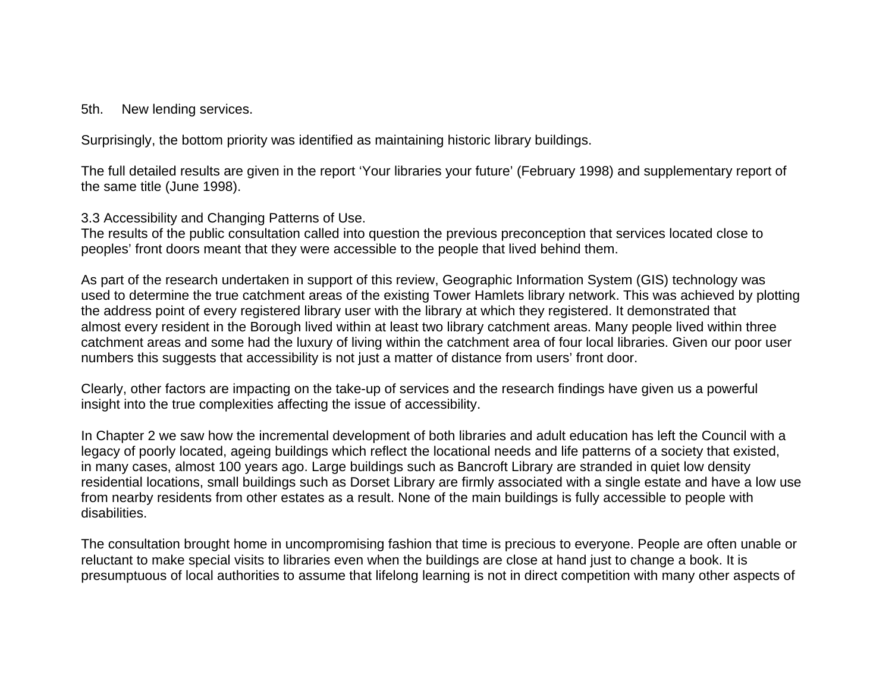#### 5th. New lending services.

Surprisingly, the bottom priority was identified as maintaining historic library buildings.

The full detailed results are given in the report 'Your libraries your future' (February 1998) and supplementary report of the same title (June 1998).

3.3 Accessibility and Changing Patterns of Use.

The results of the public consultation called into question the previous preconception that services located close to peoples' front doors meant that they were accessible to the people that lived behind them.

As part of the research undertaken in support of this review, Geographic Information System (GIS) technology was used to determine the true catchment areas of the existing Tower Hamlets library network. This was achieved by plotting the address point of every registered library user with the library at which they registered. It demonstrated that almost every resident in the Borough lived within at least two library catchment areas. Many people lived within three catchment areas and some had the luxury of living within the catchment area of four local libraries. Given our poor user numbers this suggests that accessibility is not just a matter of distance from users' front door.

Clearly, other factors are impacting on the take-up of services and the research findings have given us a powerful insight into the true complexities affecting the issue of accessibility.

In Chapter 2 we saw how the incremental development of both libraries and adult education has left the Council with a legacy of poorly located, ageing buildings which reflect the locational needs and life patterns of a society that existed, in many cases, almost 100 years ago. Large buildings such as Bancroft Library are stranded in quiet low density residential locations, small buildings such as Dorset Library are firmly associated with a single estate and have a low use from nearby residents from other estates as a result. None of the main buildings is fully accessible to people with disabilities.

The consultation brought home in uncompromising fashion that time is precious to everyone. People are often unable or reluctant to make special visits to libraries even when the buildings are close at hand just to change a book. It is presumptuous of local authorities to assume that lifelong learning is not in direct competition with many other aspects of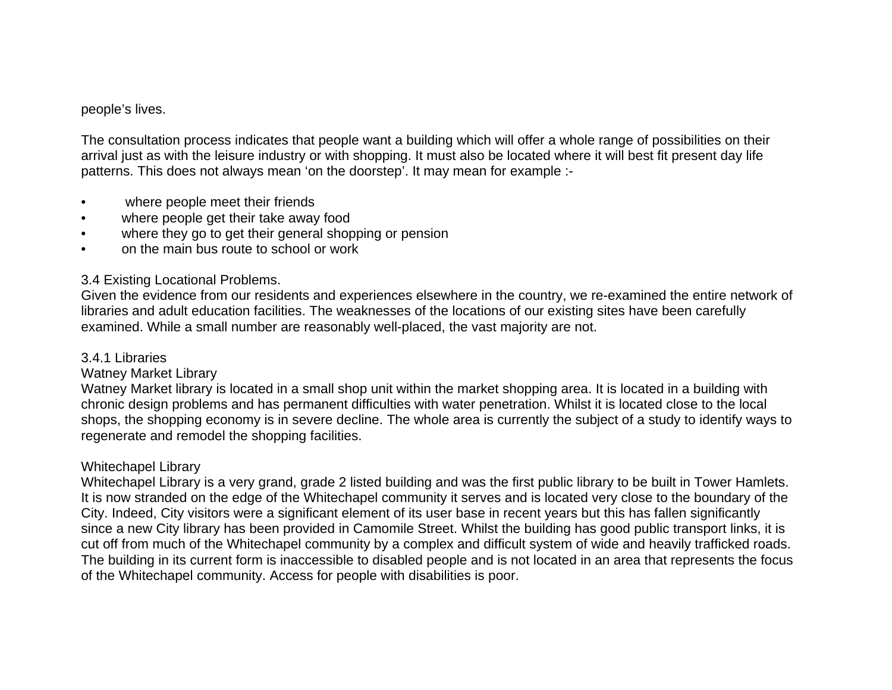#### people's lives.

The consultation process indicates that people want a building which will offer a whole range of possibilities on their arrival just as with the leisure industry or with shopping. It must also be located where it will best fit present day life patterns. This does not always mean 'on the doorstep'. It may mean for example :-

- where people meet their friends
- where people get their take away food
- where they go to get their general shopping or pension
- on the main bus route to school or work

## 3.4 Existing Locational Problems.

Given the evidence from our residents and experiences elsewhere in the country, we re-examined the entire network of libraries and adult education facilities. The weaknesses of the locations of our existing sites have been carefully examined. While a small number are reasonably well-placed, the vast majority are not.

### 3.4.1 Libraries

## Watney Market Library

Watney Market library is located in a small shop unit within the market shopping area. It is located in a building with chronic design problems and has permanent difficulties with water penetration. Whilst it is located close to the local shops, the shopping economy is in severe decline. The whole area is currently the subject of a study to identify ways to regenerate and remodel the shopping facilities.

## Whitechapel Library

Whitechapel Library is a very grand, grade 2 listed building and was the first public library to be built in Tower Hamlets. It is now stranded on the edge of the Whitechapel community it serves and is located very close to the boundary of the City. Indeed, City visitors were a significant element of its user base in recent years but this has fallen significantly since a new City library has been provided in Camomile Street. Whilst the building has good public transport links, it is cut off from much of the Whitechapel community by a complex and difficult system of wide and heavily trafficked roads. The building in its current form is inaccessible to disabled people and is not located in an area that represents the focus of the Whitechapel community. Access for people with disabilities is poor.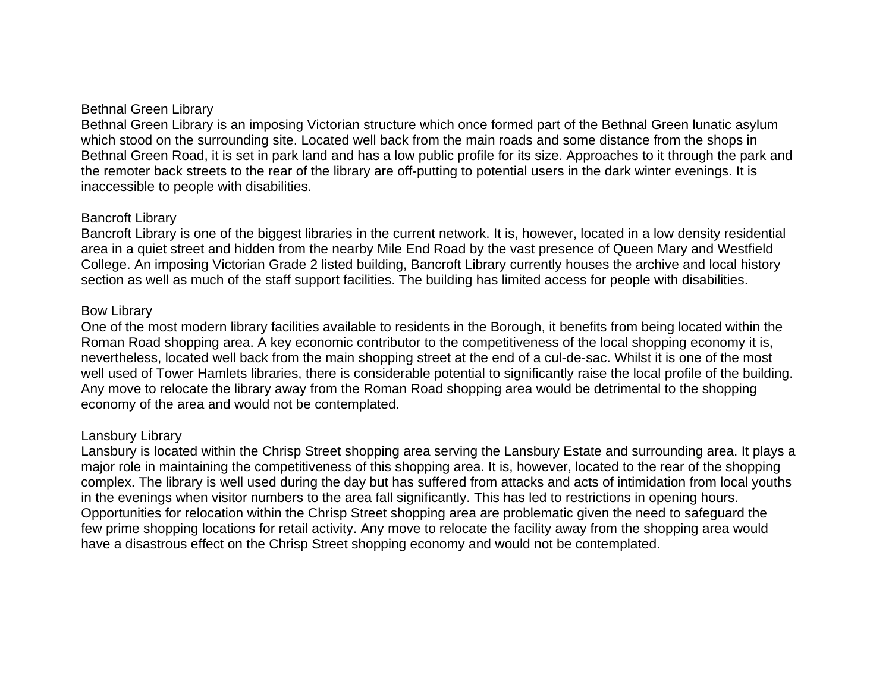## Bethnal Green Library

Bethnal Green Library is an imposing Victorian structure which once formed part of the Bethnal Green lunatic asylum which stood on the surrounding site. Located well back from the main roads and some distance from the shops in Bethnal Green Road, it is set in park land and has a low public profile for its size. Approaches to it through the park and the remoter back streets to the rear of the library are off-putting to potential users in the dark winter evenings. It is inaccessible to people with disabilities.

### Bancroft Library

Bancroft Library is one of the biggest libraries in the current network. It is, however, located in a low density residential area in a quiet street and hidden from the nearby Mile End Road by the vast presence of Queen Mary and Westfield College. An imposing Victorian Grade 2 listed building, Bancroft Library currently houses the archive and local history section as well as much of the staff support facilities. The building has limited access for people with disabilities.

## Bow Library

One of the most modern library facilities available to residents in the Borough, it benefits from being located within the Roman Road shopping area. A key economic contributor to the competitiveness of the local shopping economy it is, nevertheless, located well back from the main shopping street at the end of a cul-de-sac. Whilst it is one of the most well used of Tower Hamlets libraries, there is considerable potential to significantly raise the local profile of the building. Any move to relocate the library away from the Roman Road shopping area would be detrimental to the shopping economy of the area and would not be contemplated.

## Lansbury Library

Lansbury is located within the Chrisp Street shopping area serving the Lansbury Estate and surrounding area. It plays a major role in maintaining the competitiveness of this shopping area. It is, however, located to the rear of the shopping complex. The library is well used during the day but has suffered from attacks and acts of intimidation from local youths in the evenings when visitor numbers to the area fall significantly. This has led to restrictions in opening hours. Opportunities for relocation within the Chrisp Street shopping area are problematic given the need to safeguard the few prime shopping locations for retail activity. Any move to relocate the facility away from the shopping area would have a disastrous effect on the Chrisp Street shopping economy and would not be contemplated.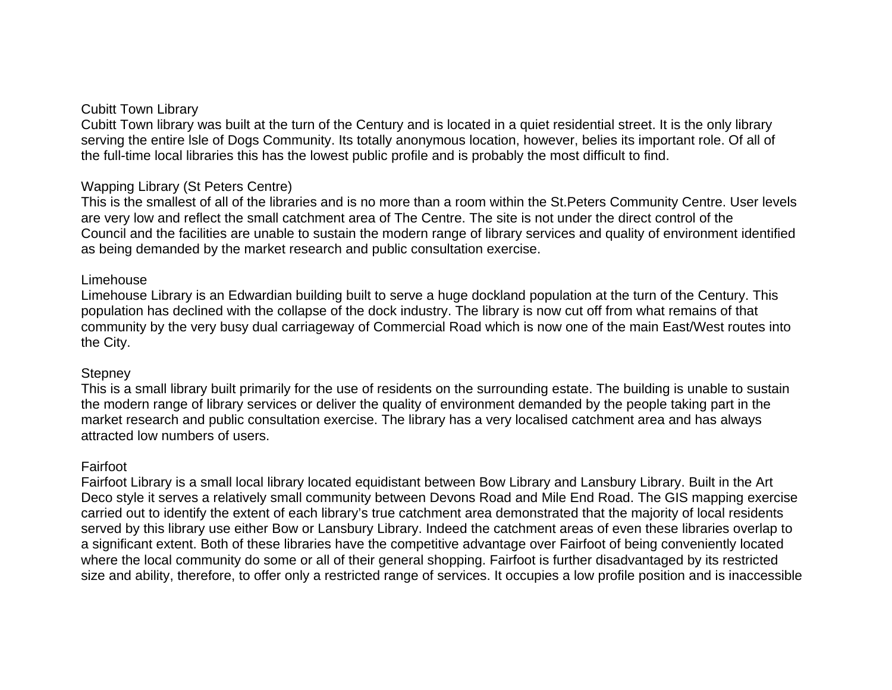### Cubitt Town Library

Cubitt Town library was built at the turn of the Century and is located in a quiet residential street. It is the only library serving the entire lsle of Dogs Community. Its totally anonymous location, however, belies its important role. Of all of the full-time local libraries this has the lowest public profile and is probably the most difficult to find.

### Wapping Library (St Peters Centre)

This is the smallest of all of the libraries and is no more than a room within the St.Peters Community Centre. User levels are very low and reflect the small catchment area of The Centre. The site is not under the direct control of the Council and the facilities are unable to sustain the modern range of library services and quality of environment identified as being demanded by the market research and public consultation exercise.

#### Limehouse

Limehouse Library is an Edwardian building built to serve a huge dockland population at the turn of the Century. This population has declined with the collapse of the dock industry. The library is now cut off from what remains of that community by the very busy dual carriageway of Commercial Road which is now one of the main East/West routes into the City.

### **Stepney**

This is a small library built primarily for the use of residents on the surrounding estate. The building is unable to sustain the modern range of library services or deliver the quality of environment demanded by the people taking part in the market research and public consultation exercise. The library has a very localised catchment area and has always attracted low numbers of users.

### Fairfoot

Fairfoot Library is a small local library located equidistant between Bow Library and Lansbury Library. Built in the Art Deco style it serves a relatively small community between Devons Road and Mile End Road. The GIS mapping exercise carried out to identify the extent of each library's true catchment area demonstrated that the majority of local residents served by this library use either Bow or Lansbury Library. Indeed the catchment areas of even these libraries overlap to a significant extent. Both of these libraries have the competitive advantage over Fairfoot of being conveniently located where the local community do some or all of their general shopping. Fairfoot is further disadvantaged by its restricted size and ability, therefore, to offer only a restricted range of services. It occupies a low profile position and is inaccessible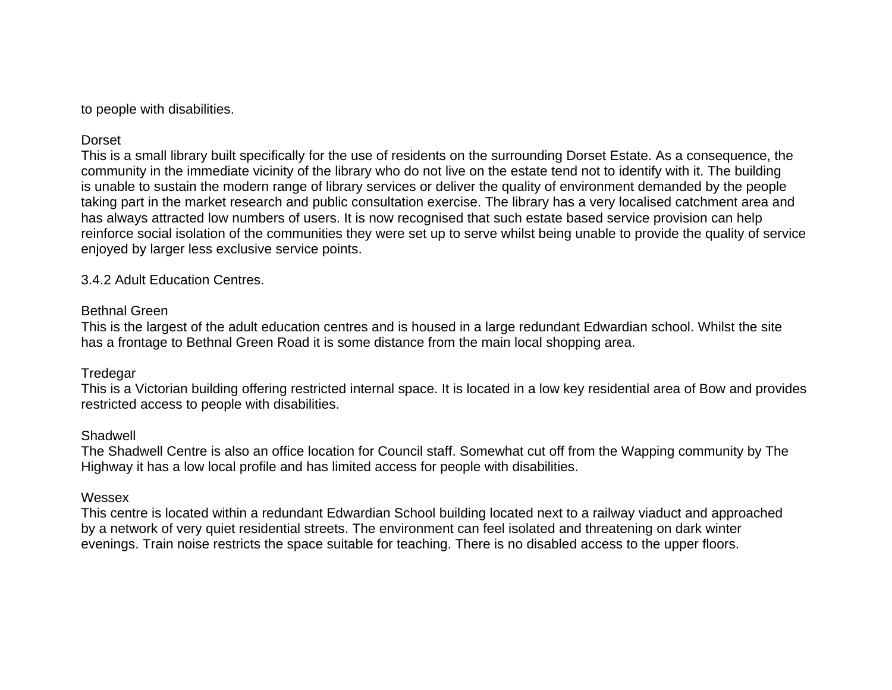to people with disabilities.

## **Dorset**

This is a small library built specifically for the use of residents on the surrounding Dorset Estate. As a consequence, the community in the immediate vicinity of the library who do not live on the estate tend not to identify with it. The building is unable to sustain the modern range of library services or deliver the quality of environment demanded by the people taking part in the market research and public consultation exercise. The library has a very localised catchment area and has always attracted low numbers of users. It is now recognised that such estate based service provision can help reinforce social isolation of the communities they were set up to serve whilst being unable to provide the quality of service enjoyed by larger less exclusive service points.

3.4.2 Adult Education Centres.

## Bethnal Green

This is the largest of the adult education centres and is housed in a large redundant Edwardian school. Whilst the site has a frontage to Bethnal Green Road it is some distance from the main local shopping area.

## **Tredegar**

This is a Victorian building offering restricted internal space. It is located in a low key residential area of Bow and provides restricted access to people with disabilities.

## **Shadwell**

The Shadwell Centre is also an office location for Council staff. Somewhat cut off from the Wapping community by The Highway it has a low local profile and has limited access for people with disabilities.

### Wessex

This centre is located within a redundant Edwardian School building located next to a railway viaduct and approached by a network of very quiet residential streets. The environment can feel isolated and threatening on dark winter evenings. Train noise restricts the space suitable for teaching. There is no disabled access to the upper floors.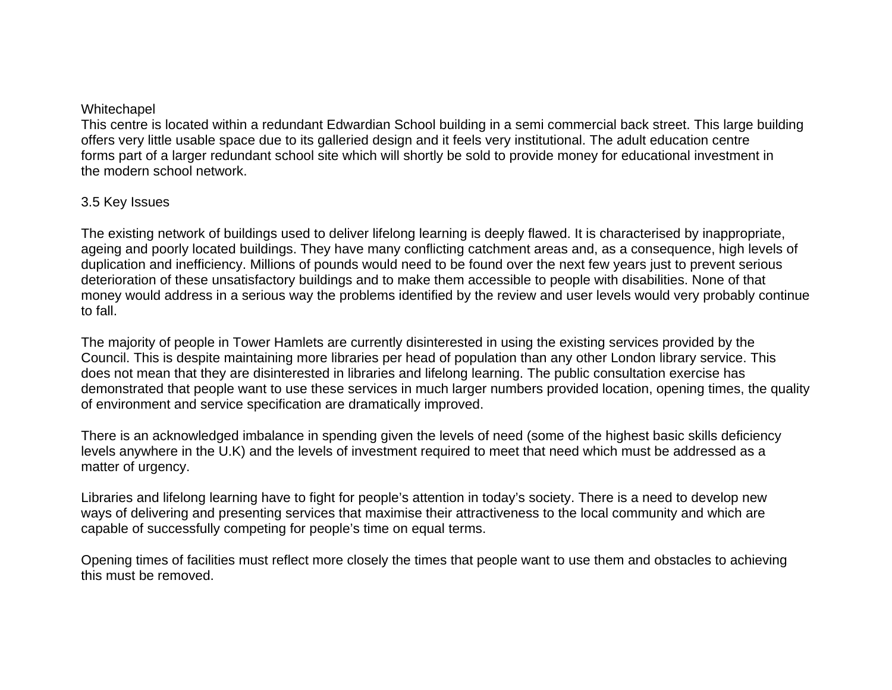#### Whitechapel

This centre is located within a redundant Edwardian School building in a semi commercial back street. This large building offers very little usable space due to its galleried design and it feels very institutional. The adult education centre forms part of a larger redundant school site which will shortly be sold to provide money for educational investment in the modern school network.

## 3.5 Key Issues

The existing network of buildings used to deliver lifelong learning is deeply flawed. It is characterised by inappropriate, ageing and poorly located buildings. They have many conflicting catchment areas and, as a consequence, high levels of duplication and inefficiency. Millions of pounds would need to be found over the next few years just to prevent serious deterioration of these unsatisfactory buildings and to make them accessible to people with disabilities. None of that money would address in a serious way the problems identified by the review and user levels would very probably continue to fall.

The majority of people in Tower Hamlets are currently disinterested in using the existing services provided by the Council. This is despite maintaining more libraries per head of population than any other London library service. This does not mean that they are disinterested in libraries and lifelong learning. The public consultation exercise has demonstrated that people want to use these services in much larger numbers provided location, opening times, the quality of environment and service specification are dramatically improved.

There is an acknowledged imbalance in spending given the levels of need (some of the highest basic skills deficiency levels anywhere in the U.K) and the levels of investment required to meet that need which must be addressed as a matter of urgency.

Libraries and lifelong learning have to fight for people's attention in today's society. There is a need to develop new ways of delivering and presenting services that maximise their attractiveness to the local community and which are capable of successfully competing for people's time on equal terms.

Opening times of facilities must reflect more closely the times that people want to use them and obstacles to achieving this must be removed.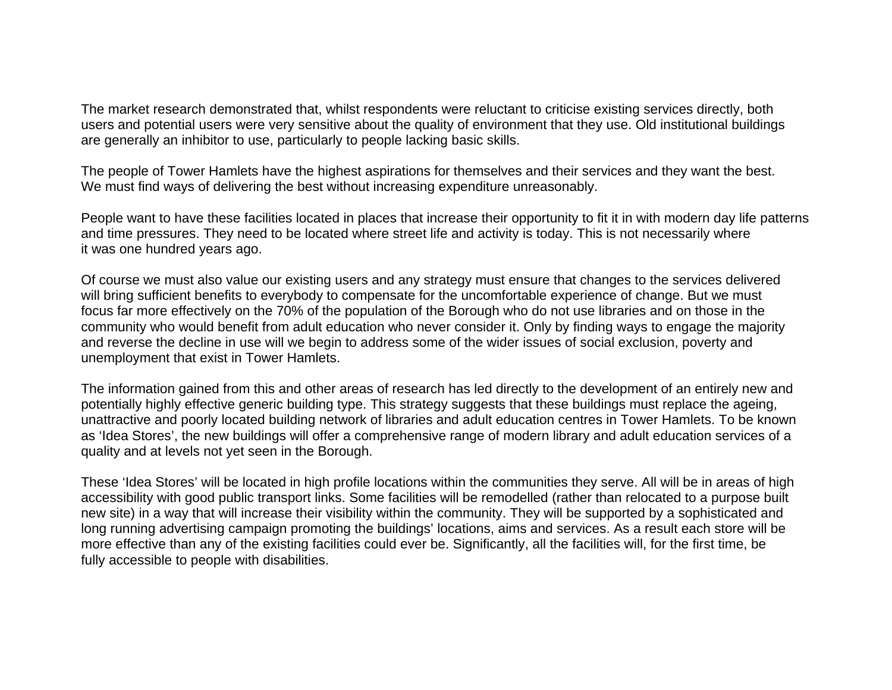The market research demonstrated that, whilst respondents were reluctant to criticise existing services directly, both users and potential users were very sensitive about the quality of environment that they use. Old institutional buildings are generally an inhibitor to use, particularly to people lacking basic skills.

The people of Tower Hamlets have the highest aspirations for themselves and their services and they want the best. We must find ways of delivering the best without increasing expenditure unreasonably.

People want to have these facilities located in places that increase their opportunity to fit it in with modern day life patterns and time pressures. They need to be located where street life and activity is today. This is not necessarily where it was one hundred years ago.

Of course we must also value our existing users and any strategy must ensure that changes to the services delivered will bring sufficient benefits to everybody to compensate for the uncomfortable experience of change. But we must focus far more effectively on the 70% of the population of the Borough who do not use libraries and on those in the community who would benefit from adult education who never consider it. Only by finding ways to engage the majority and reverse the decline in use will we begin to address some of the wider issues of social exclusion, poverty and unemployment that exist in Tower Hamlets.

The information gained from this and other areas of research has led directly to the development of an entirely new and potentially highly effective generic building type. This strategy suggests that these buildings must replace the ageing, unattractive and poorly located building network of libraries and adult education centres in Tower Hamlets. To be known as 'Idea Stores', the new buildings will offer a comprehensive range of modern library and adult education services of a quality and at levels not yet seen in the Borough.

These 'Idea Stores' will be located in high profile locations within the communities they serve. All will be in areas of high accessibility with good public transport links. Some facilities will be remodelled (rather than relocated to a purpose built new site) in a way that will increase their visibility within the community. They will be supported by a sophisticated and long running advertising campaign promoting the buildings' locations, aims and services. As a result each store will be more effective than any of the existing facilities could ever be. Significantly, all the facilities will, for the first time, be fully accessible to people with disabilities.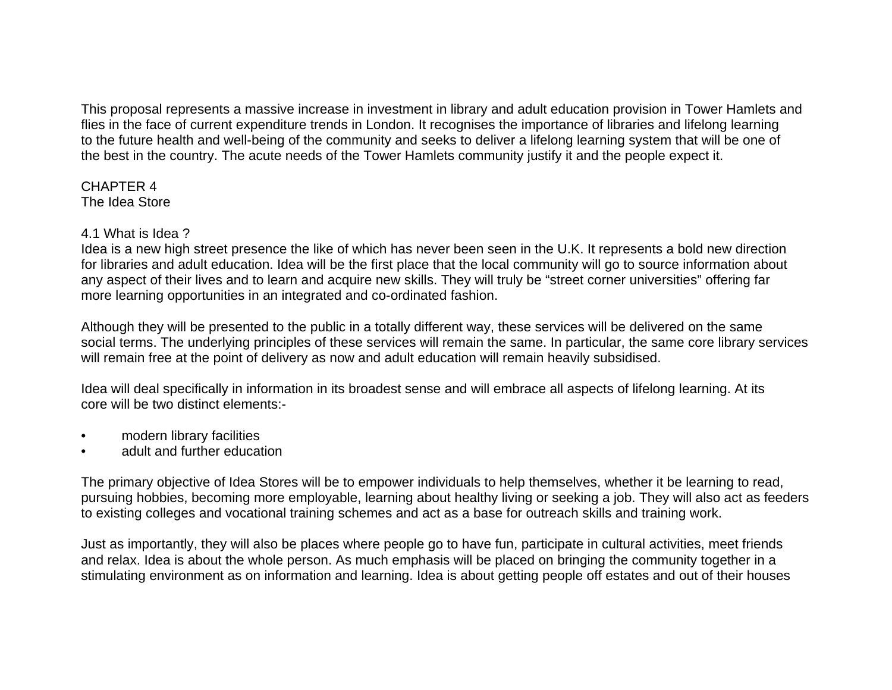This proposal represents a massive increase in investment in library and adult education provision in Tower Hamlets and flies in the face of current expenditure trends in London. It recognises the importance of libraries and lifelong learning to the future health and well-being of the community and seeks to deliver a lifelong learning system that will be one of the best in the country. The acute needs of the Tower Hamlets community justify it and the people expect it.

CHAPTER 4 The Idea Store

### 4.1 What is Idea ?

Idea is a new high street presence the like of which has never been seen in the U.K. It represents a bold new direction for libraries and adult education. Idea will be the first place that the local community will go to source information about any aspect of their lives and to learn and acquire new skills. They will truly be "street corner universities" offering far more learning opportunities in an integrated and co-ordinated fashion.

Although they will be presented to the public in a totally different way, these services will be delivered on the same social terms. The underlying principles of these services will remain the same. In particular, the same core library services will remain free at the point of delivery as now and adult education will remain heavily subsidised.

Idea will deal specifically in information in its broadest sense and will embrace all aspects of lifelong learning. At its core will be two distinct elements:-

- modern library facilities
- adult and further education

The primary objective of Idea Stores will be to empower individuals to help themselves, whether it be learning to read, pursuing hobbies, becoming more employable, learning about healthy living or seeking a job. They will also act as feeders to existing colleges and vocational training schemes and act as a base for outreach skills and training work.

Just as importantly, they will also be places where people go to have fun, participate in cultural activities, meet friends and relax. Idea is about the whole person. As much emphasis will be placed on bringing the community together in a stimulating environment as on information and learning. Idea is about getting people off estates and out of their houses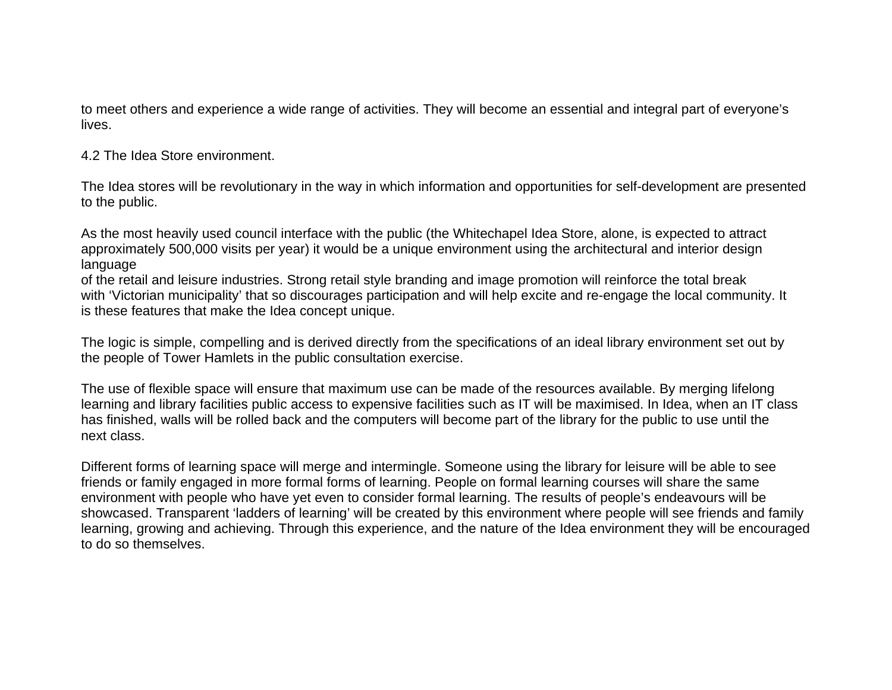to meet others and experience a wide range of activities. They will become an essential and integral part of everyone's lives.

4.2 The Idea Store environment.

The Idea stores will be revolutionary in the way in which information and opportunities for self-development are presented to the public.

As the most heavily used council interface with the public (the Whitechapel Idea Store, alone, is expected to attract approximately 500,000 visits per year) it would be a unique environment using the architectural and interior design language

of the retail and leisure industries. Strong retail style branding and image promotion will reinforce the total break with 'Victorian municipality' that so discourages participation and will help excite and re-engage the local community. It is these features that make the Idea concept unique.

The logic is simple, compelling and is derived directly from the specifications of an ideal library environment set out by the people of Tower Hamlets in the public consultation exercise.

The use of flexible space will ensure that maximum use can be made of the resources available. By merging lifelong learning and library facilities public access to expensive facilities such as IT will be maximised. In Idea, when an IT class has finished, walls will be rolled back and the computers will become part of the library for the public to use until the next class.

Different forms of learning space will merge and intermingle. Someone using the library for leisure will be able to see friends or family engaged in more formal forms of learning. People on formal learning courses will share the same environment with people who have yet even to consider formal learning. The results of people's endeavours will be showcased. Transparent 'ladders of learning' will be created by this environment where people will see friends and family learning, growing and achieving. Through this experience, and the nature of the Idea environment they will be encouraged to do so themselves.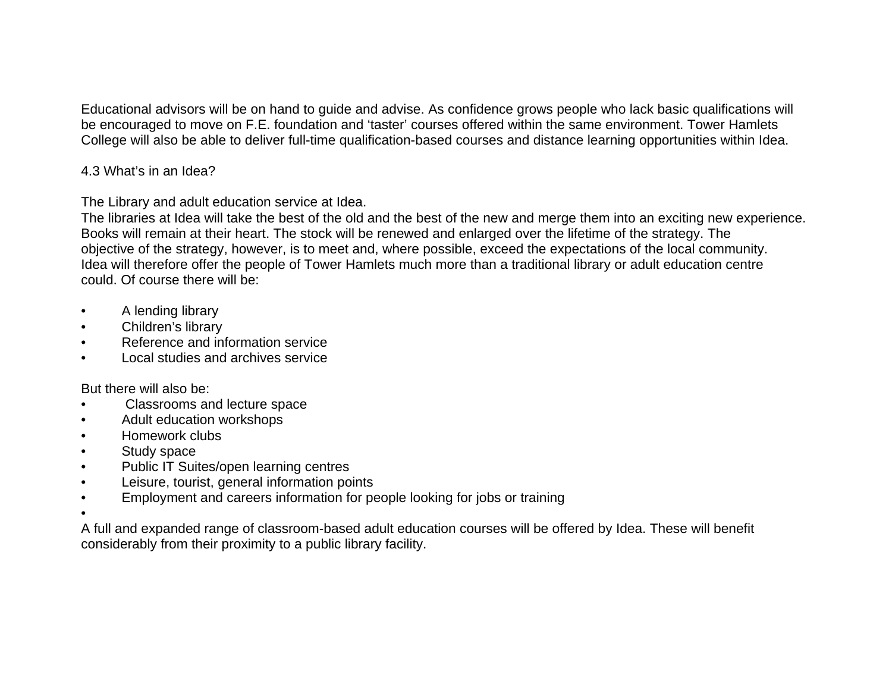Educational advisors will be on hand to guide and advise. As confidence grows people who lack basic qualifications will be encouraged to move on F.E. foundation and 'taster' courses offered within the same environment. Tower Hamlets College will also be able to deliver full-time qualification-based courses and distance learning opportunities within Idea.

## 4.3 What's in an Idea?

The Library and adult education service at Idea.

The libraries at Idea will take the best of the old and the best of the new and merge them into an exciting new experience. Books will remain at their heart. The stock will be renewed and enlarged over the lifetime of the strategy. The objective of the strategy, however, is to meet and, where possible, exceed the expectations of the local community. Idea will therefore offer the people of Tower Hamlets much more than a traditional library or adult education centre could. Of course there will be:

- A lending library
- Children's library
- Reference and information service
- Local studies and archives service

But there will also be:

- Classrooms and lecture space
- Adult education workshops
- Homework clubs
- Study space
- Public IT Suites/open learning centres
- Leisure, tourist, general information points
- Employment and careers information for people looking for jobs or training
- •

A full and expanded range of classroom-based adult education courses will be offered by Idea. These will benefit considerably from their proximity to a public library facility.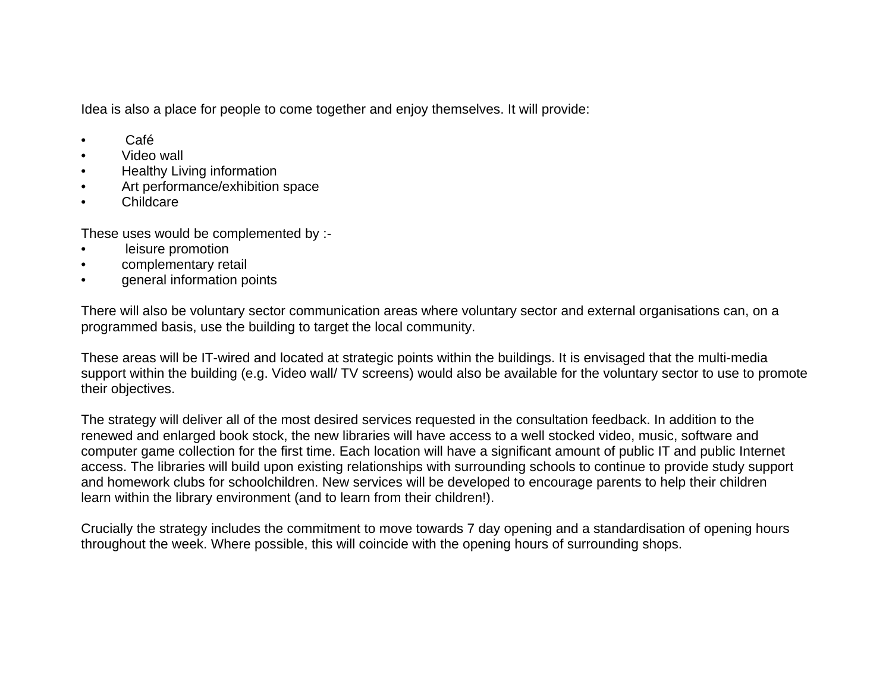Idea is also a place for people to come together and enjoy themselves. It will provide:

- Café
- Video wall
- Healthy Living information
- Art performance/exhibition space
- Childcare

These uses would be complemented by :-

- leisure promotion
- complementary retail
- general information points

There will also be voluntary sector communication areas where voluntary sector and external organisations can, on a programmed basis, use the building to target the local community.

These areas will be IT-wired and located at strategic points within the buildings. It is envisaged that the multi-media support within the building (e.g. Video wall/ TV screens) would also be available for the voluntary sector to use to promote their objectives.

The strategy will deliver all of the most desired services requested in the consultation feedback. In addition to the renewed and enlarged book stock, the new libraries will have access to a well stocked video, music, software and computer game collection for the first time. Each location will have a significant amount of public IT and public Internet access. The libraries will build upon existing relationships with surrounding schools to continue to provide study support and homework clubs for schoolchildren. New services will be developed to encourage parents to help their children learn within the library environment (and to learn from their children!).

Crucially the strategy includes the commitment to move towards 7 day opening and a standardisation of opening hours throughout the week. Where possible, this will coincide with the opening hours of surrounding shops.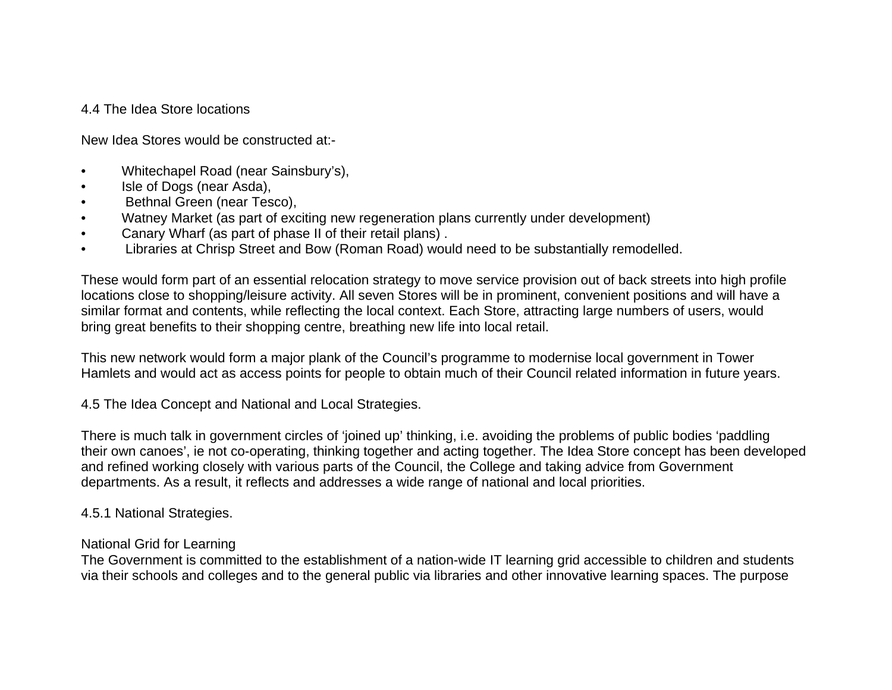### 4.4 The Idea Store locations

New Idea Stores would be constructed at:-

- Whitechapel Road (near Sainsbury's),
- Isle of Dogs (near Asda),
- Bethnal Green (near Tesco),
- Watney Market (as part of exciting new regeneration plans currently under development)
- Canary Wharf (as part of phase II of their retail plans) .
- Libraries at Chrisp Street and Bow (Roman Road) would need to be substantially remodelled.

These would form part of an essential relocation strategy to move service provision out of back streets into high profile locations close to shopping/leisure activity. All seven Stores will be in prominent, convenient positions and will have a similar format and contents, while reflecting the local context. Each Store, attracting large numbers of users, would bring great benefits to their shopping centre, breathing new life into local retail.

This new network would form a major plank of the Council's programme to modernise local government in Tower Hamlets and would act as access points for people to obtain much of their Council related information in future years.

4.5 The Idea Concept and National and Local Strategies.

There is much talk in government circles of 'joined up' thinking, i.e. avoiding the problems of public bodies 'paddling their own canoes', ie not co-operating, thinking together and acting together. The Idea Store concept has been developed and refined working closely with various parts of the Council, the College and taking advice from Government departments. As a result, it reflects and addresses a wide range of national and local priorities.

4.5.1 National Strategies.

#### National Grid for Learning

The Government is committed to the establishment of a nation-wide IT learning grid accessible to children and students via their schools and colleges and to the general public via libraries and other innovative learning spaces. The purpose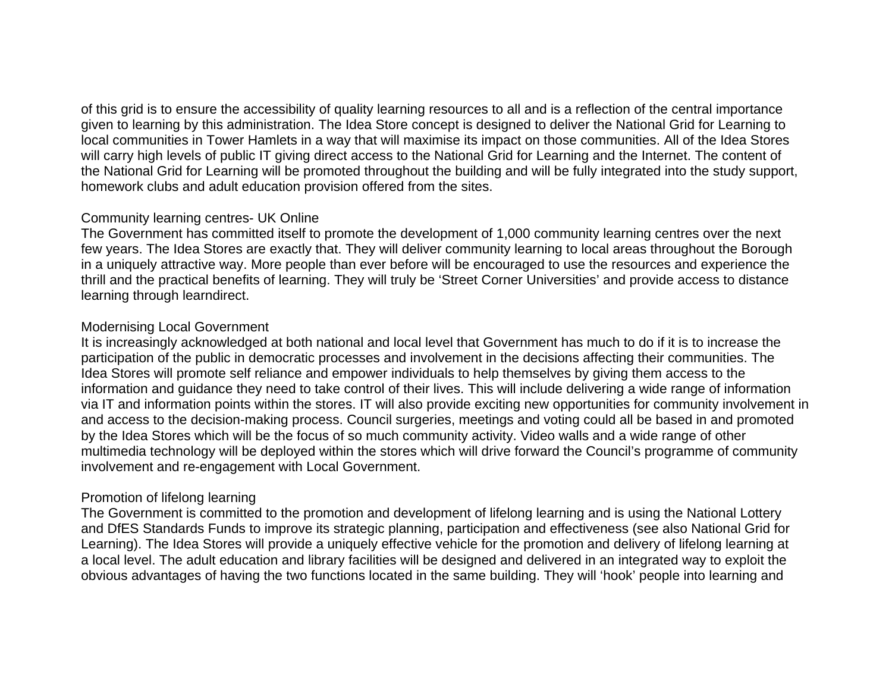of this grid is to ensure the accessibility of quality learning resources to all and is a reflection of the central importance given to learning by this administration. The Idea Store concept is designed to deliver the National Grid for Learning to local communities in Tower Hamlets in a way that will maximise its impact on those communities. All of the Idea Stores will carry high levels of public IT giving direct access to the National Grid for Learning and the Internet. The content of the National Grid for Learning will be promoted throughout the building and will be fully integrated into the study support, homework clubs and adult education provision offered from the sites.

### Community learning centres- UK Online

The Government has committed itself to promote the development of 1,000 community learning centres over the next few years. The Idea Stores are exactly that. They will deliver community learning to local areas throughout the Borough in a uniquely attractive way. More people than ever before will be encouraged to use the resources and experience the thrill and the practical benefits of learning. They will truly be 'Street Corner Universities' and provide access to distance learning through learndirect.

## Modernising Local Government

It is increasingly acknowledged at both national and local level that Government has much to do if it is to increase the participation of the public in democratic processes and involvement in the decisions affecting their communities. The Idea Stores will promote self reliance and empower individuals to help themselves by giving them access to the information and guidance they need to take control of their lives. This will include delivering a wide range of information via IT and information points within the stores. IT will also provide exciting new opportunities for community involvement in and access to the decision-making process. Council surgeries, meetings and voting could all be based in and promoted by the Idea Stores which will be the focus of so much community activity. Video walls and a wide range of other multimedia technology will be deployed within the stores which will drive forward the Council's programme of community involvement and re-engagement with Local Government.

## Promotion of lifelong learning

The Government is committed to the promotion and development of lifelong learning and is using the National Lottery and DfES Standards Funds to improve its strategic planning, participation and effectiveness (see also National Grid for Learning). The Idea Stores will provide a uniquely effective vehicle for the promotion and delivery of lifelong learning at a local level. The adult education and library facilities will be designed and delivered in an integrated way to exploit the obvious advantages of having the two functions located in the same building. They will 'hook' people into learning and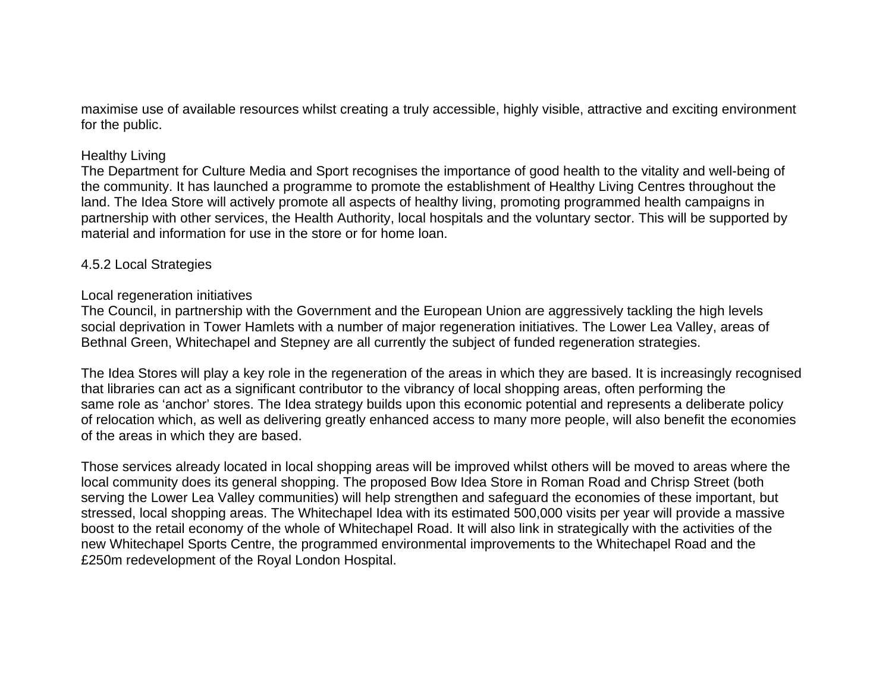maximise use of available resources whilst creating a truly accessible, highly visible, attractive and exciting environment for the public.

#### Healthy Living

The Department for Culture Media and Sport recognises the importance of good health to the vitality and well-being of the community. It has launched a programme to promote the establishment of Healthy Living Centres throughout the land. The Idea Store will actively promote all aspects of healthy living, promoting programmed health campaigns in partnership with other services, the Health Authority, local hospitals and the voluntary sector. This will be supported by material and information for use in the store or for home loan.

#### 4.5.2 Local Strategies

#### Local regeneration initiatives

The Council, in partnership with the Government and the European Union are aggressively tackling the high levels social deprivation in Tower Hamlets with a number of major regeneration initiatives. The Lower Lea Valley, areas of Bethnal Green, Whitechapel and Stepney are all currently the subject of funded regeneration strategies.

The Idea Stores will play a key role in the regeneration of the areas in which they are based. It is increasingly recognised that libraries can act as a significant contributor to the vibrancy of local shopping areas, often performing the same role as 'anchor' stores. The Idea strategy builds upon this economic potential and represents a deliberate policy of relocation which, as well as delivering greatly enhanced access to many more people, will also benefit the economies of the areas in which they are based.

Those services already located in local shopping areas will be improved whilst others will be moved to areas where the local community does its general shopping. The proposed Bow Idea Store in Roman Road and Chrisp Street (both serving the Lower Lea Valley communities) will help strengthen and safeguard the economies of these important, but stressed, local shopping areas. The Whitechapel Idea with its estimated 500,000 visits per year will provide a massive boost to the retail economy of the whole of Whitechapel Road. It will also link in strategically with the activities of the new Whitechapel Sports Centre, the programmed environmental improvements to the Whitechapel Road and the £250m redevelopment of the Royal London Hospital.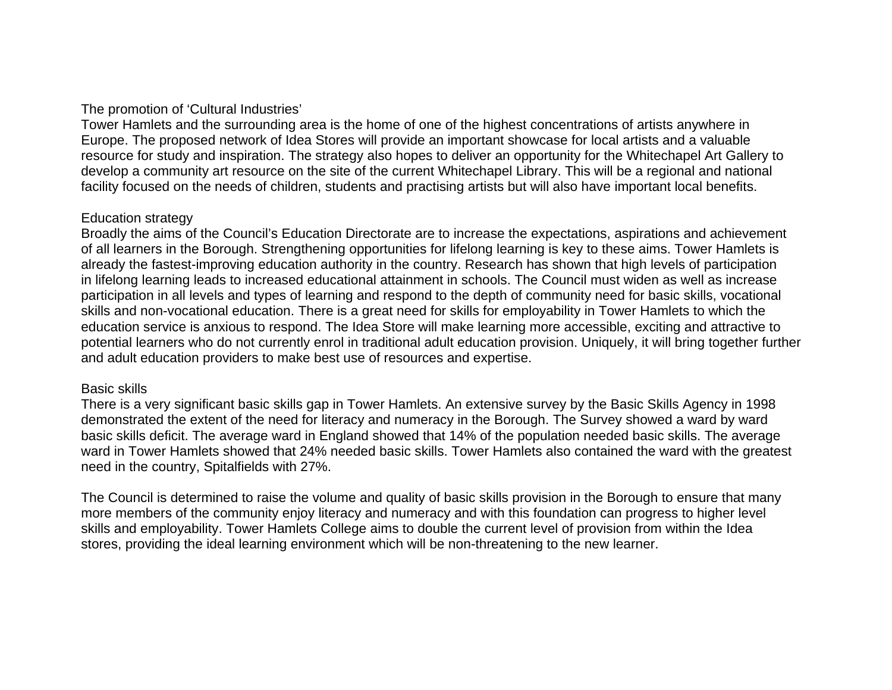## The promotion of 'Cultural Industries'

Tower Hamlets and the surrounding area is the home of one of the highest concentrations of artists anywhere in Europe. The proposed network of Idea Stores will provide an important showcase for local artists and a valuable resource for study and inspiration. The strategy also hopes to deliver an opportunity for the Whitechapel Art Gallery to develop a community art resource on the site of the current Whitechapel Library. This will be a regional and national facility focused on the needs of children, students and practising artists but will also have important local benefits.

#### Education strategy

Broadly the aims of the Council's Education Directorate are to increase the expectations, aspirations and achievement of all learners in the Borough. Strengthening opportunities for lifelong learning is key to these aims. Tower Hamlets is already the fastest-improving education authority in the country. Research has shown that high levels of participation in lifelong learning leads to increased educational attainment in schools. The Council must widen as well as increase participation in all levels and types of learning and respond to the depth of community need for basic skills, vocational skills and non-vocational education. There is a great need for skills for employability in Tower Hamlets to which the education service is anxious to respond. The Idea Store will make learning more accessible, exciting and attractive to potential learners who do not currently enrol in traditional adult education provision. Uniquely, it will bring together further and adult education providers to make best use of resources and expertise.

#### Basic skills

There is a very significant basic skills gap in Tower Hamlets. An extensive survey by the Basic Skills Agency in 1998 demonstrated the extent of the need for literacy and numeracy in the Borough. The Survey showed a ward by ward basic skills deficit. The average ward in England showed that 14% of the population needed basic skills. The average ward in Tower Hamlets showed that 24% needed basic skills. Tower Hamlets also contained the ward with the greatest need in the country, Spitalfields with 27%.

The Council is determined to raise the volume and quality of basic skills provision in the Borough to ensure that many more members of the community enjoy literacy and numeracy and with this foundation can progress to higher level skills and employability. Tower Hamlets College aims to double the current level of provision from within the Idea stores, providing the ideal learning environment which will be non-threatening to the new learner.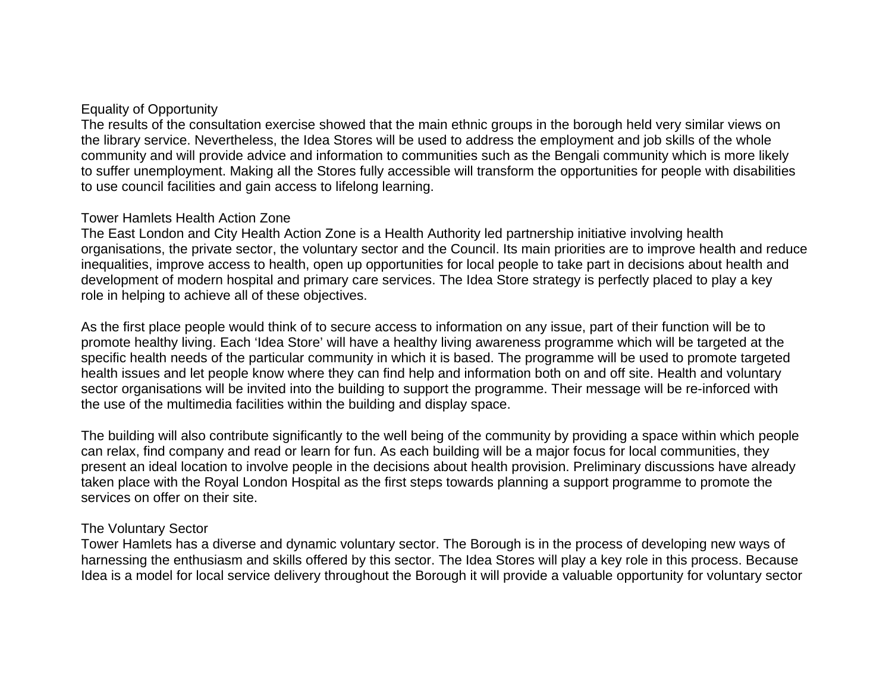#### Equality of Opportunity

The results of the consultation exercise showed that the main ethnic groups in the borough held very similar views on the library service. Nevertheless, the Idea Stores will be used to address the employment and job skills of the whole community and will provide advice and information to communities such as the Bengali community which is more likely to suffer unemployment. Making all the Stores fully accessible will transform the opportunities for people with disabilities to use council facilities and gain access to lifelong learning.

#### Tower Hamlets Health Action Zone

The East London and City Health Action Zone is a Health Authority led partnership initiative involving health organisations, the private sector, the voluntary sector and the Council. Its main priorities are to improve health and reduce inequalities, improve access to health, open up opportunities for local people to take part in decisions about health and development of modern hospital and primary care services. The Idea Store strategy is perfectly placed to play a key role in helping to achieve all of these objectives.

As the first place people would think of to secure access to information on any issue, part of their function will be to promote healthy living. Each 'Idea Store' will have a healthy living awareness programme which will be targeted at the specific health needs of the particular community in which it is based. The programme will be used to promote targeted health issues and let people know where they can find help and information both on and off site. Health and voluntary sector organisations will be invited into the building to support the programme. Their message will be re-inforced with the use of the multimedia facilities within the building and display space.

The building will also contribute significantly to the well being of the community by providing a space within which people can relax, find company and read or learn for fun. As each building will be a major focus for local communities, they present an ideal location to involve people in the decisions about health provision. Preliminary discussions have already taken place with the Royal London Hospital as the first steps towards planning a support programme to promote the services on offer on their site.

### The Voluntary Sector

Tower Hamlets has a diverse and dynamic voluntary sector. The Borough is in the process of developing new ways of harnessing the enthusiasm and skills offered by this sector. The Idea Stores will play a key role in this process. Because Idea is a model for local service delivery throughout the Borough it will provide a valuable opportunity for voluntary sector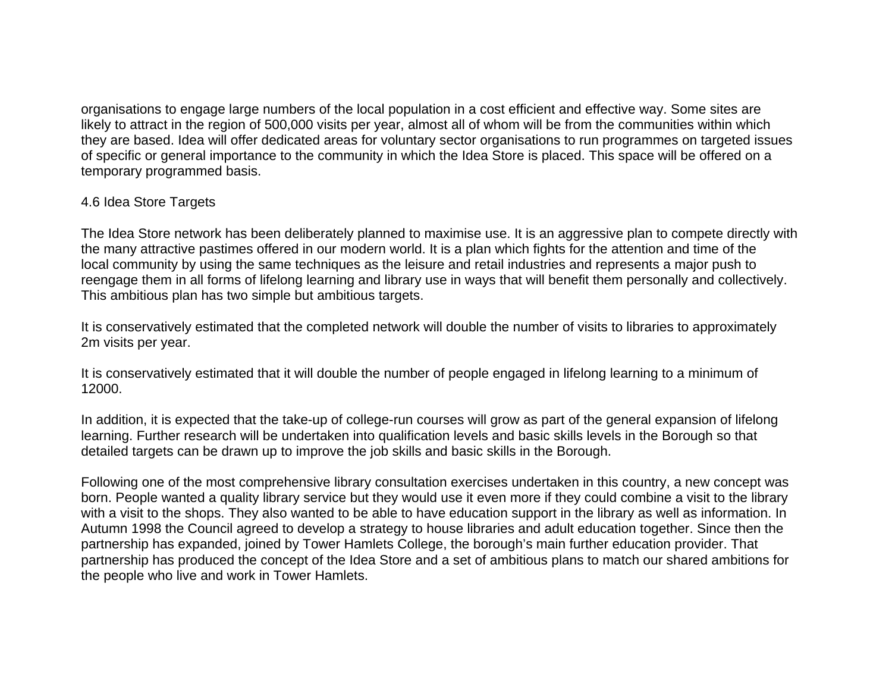organisations to engage large numbers of the local population in a cost efficient and effective way. Some sites are likely to attract in the region of 500,000 visits per year, almost all of whom will be from the communities within which they are based. Idea will offer dedicated areas for voluntary sector organisations to run programmes on targeted issues of specific or general importance to the community in which the Idea Store is placed. This space will be offered on a temporary programmed basis.

## 4.6 Idea Store Targets

The Idea Store network has been deliberately planned to maximise use. It is an aggressive plan to compete directly with the many attractive pastimes offered in our modern world. It is a plan which fights for the attention and time of the local community by using the same techniques as the leisure and retail industries and represents a major push to reengage them in all forms of lifelong learning and library use in ways that will benefit them personally and collectively. This ambitious plan has two simple but ambitious targets.

It is conservatively estimated that the completed network will double the number of visits to libraries to approximately 2m visits per year.

It is conservatively estimated that it will double the number of people engaged in lifelong learning to a minimum of 12000.

In addition, it is expected that the take-up of college-run courses will grow as part of the general expansion of lifelong learning. Further research will be undertaken into qualification levels and basic skills levels in the Borough so that detailed targets can be drawn up to improve the job skills and basic skills in the Borough.

Following one of the most comprehensive library consultation exercises undertaken in this country, a new concept was born. People wanted a quality library service but they would use it even more if they could combine a visit to the library with a visit to the shops. They also wanted to be able to have education support in the library as well as information. In Autumn 1998 the Council agreed to develop a strategy to house libraries and adult education together. Since then the partnership has expanded, joined by Tower Hamlets College, the borough's main further education provider. That partnership has produced the concept of the Idea Store and a set of ambitious plans to match our shared ambitions for the people who live and work in Tower Hamlets.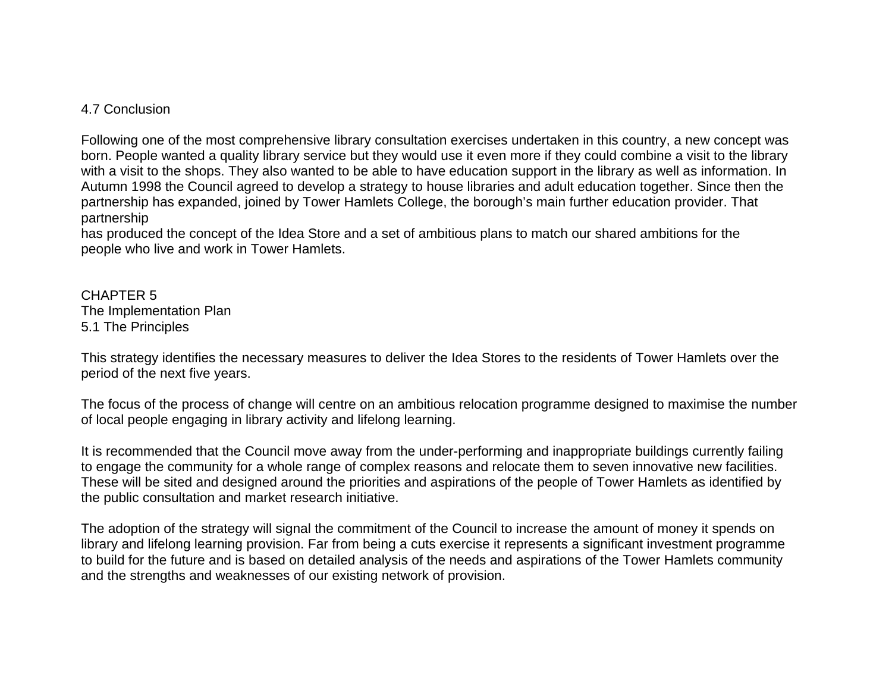### 4.7 Conclusion

Following one of the most comprehensive library consultation exercises undertaken in this country, a new concept was born. People wanted a quality library service but they would use it even more if they could combine a visit to the library with a visit to the shops. They also wanted to be able to have education support in the library as well as information. In Autumn 1998 the Council agreed to develop a strategy to house libraries and adult education together. Since then the partnership has expanded, joined by Tower Hamlets College, the borough's main further education provider. That partnership

has produced the concept of the Idea Store and a set of ambitious plans to match our shared ambitions for the people who live and work in Tower Hamlets.

CHAPTER 5 The Implementation Plan 5.1 The Principles

This strategy identifies the necessary measures to deliver the Idea Stores to the residents of Tower Hamlets over the period of the next five years.

The focus of the process of change will centre on an ambitious relocation programme designed to maximise the number of local people engaging in library activity and lifelong learning.

It is recommended that the Council move away from the under-performing and inappropriate buildings currently failing to engage the community for a whole range of complex reasons and relocate them to seven innovative new facilities. These will be sited and designed around the priorities and aspirations of the people of Tower Hamlets as identified by the public consultation and market research initiative.

The adoption of the strategy will signal the commitment of the Council to increase the amount of money it spends on library and lifelong learning provision. Far from being a cuts exercise it represents a significant investment programme to build for the future and is based on detailed analysis of the needs and aspirations of the Tower Hamlets community and the strengths and weaknesses of our existing network of provision.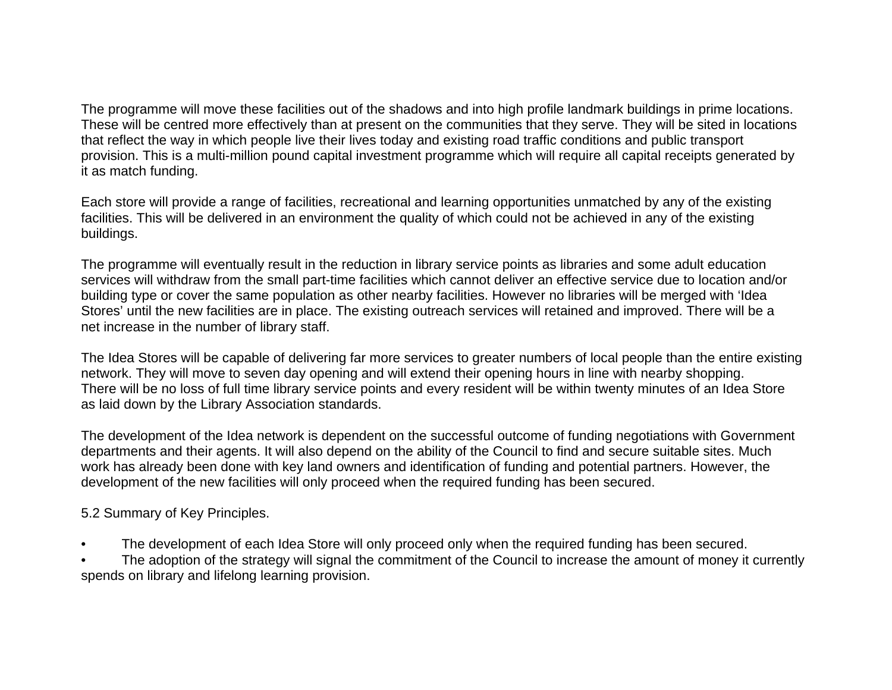The programme will move these facilities out of the shadows and into high profile landmark buildings in prime locations. These will be centred more effectively than at present on the communities that they serve. They will be sited in locations that reflect the way in which people live their lives today and existing road traffic conditions and public transport provision. This is a multi-million pound capital investment programme which will require all capital receipts generated by it as match funding.

Each store will provide a range of facilities, recreational and learning opportunities unmatched by any of the existing facilities. This will be delivered in an environment the quality of which could not be achieved in any of the existing buildings.

The programme will eventually result in the reduction in library service points as libraries and some adult education services will withdraw from the small part-time facilities which cannot deliver an effective service due to location and/or building type or cover the same population as other nearby facilities. However no libraries will be merged with 'Idea Stores' until the new facilities are in place. The existing outreach services will retained and improved. There will be a net increase in the number of library staff.

The Idea Stores will be capable of delivering far more services to greater numbers of local people than the entire existing network. They will move to seven day opening and will extend their opening hours in line with nearby shopping. There will be no loss of full time library service points and every resident will be within twenty minutes of an Idea Store as laid down by the Library Association standards.

The development of the Idea network is dependent on the successful outcome of funding negotiations with Government departments and their agents. It will also depend on the ability of the Council to find and secure suitable sites. Much work has already been done with key land owners and identification of funding and potential partners. However, the development of the new facilities will only proceed when the required funding has been secured.

5.2 Summary of Key Principles.

The development of each Idea Store will only proceed only when the required funding has been secured.

The adoption of the strategy will signal the commitment of the Council to increase the amount of money it currently spends on library and lifelong learning provision.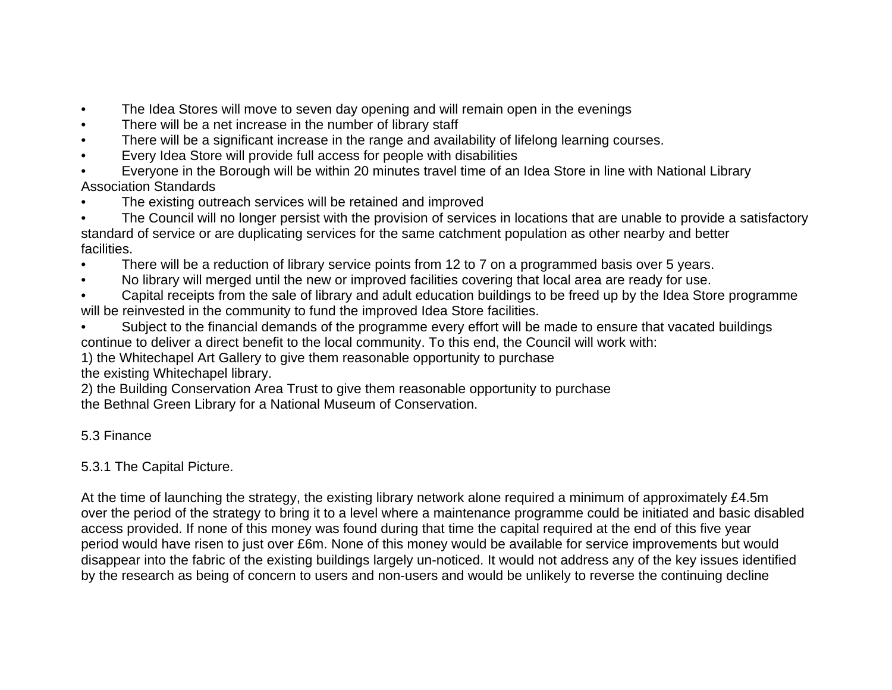- The Idea Stores will move to seven day opening and will remain open in the evenings
- There will be a net increase in the number of library staff
- There will be a significant increase in the range and availability of lifelong learning courses.
- Every Idea Store will provide full access for people with disabilities
- Everyone in the Borough will be within 20 minutes travel time of an Idea Store in line with National Library Association Standards
- The existing outreach services will be retained and improved
- The Council will no longer persist with the provision of services in locations that are unable to provide a satisfactory standard of service or are duplicating services for the same catchment population as other nearby and better facilities.
- There will be a reduction of library service points from 12 to 7 on a programmed basis over 5 years.
- No library will merged until the new or improved facilities covering that local area are ready for use.
- Capital receipts from the sale of library and adult education buildings to be freed up by the Idea Store programme will be reinvested in the community to fund the improved Idea Store facilities.
- Subject to the financial demands of the programme every effort will be made to ensure that vacated buildings continue to deliver a direct benefit to the local community. To this end, the Council will work with:
- 1) the Whitechapel Art Gallery to give them reasonable opportunity to purchase

the existing Whitechapel library.

2) the Building Conservation Area Trust to give them reasonable opportunity to purchase the Bethnal Green Library for a National Museum of Conservation.

## 5.3 Finance

## 5.3.1 The Capital Picture.

At the time of launching the strategy, the existing library network alone required a minimum of approximately £4.5m over the period of the strategy to bring it to a level where a maintenance programme could be initiated and basic disabled access provided. If none of this money was found during that time the capital required at the end of this five year period would have risen to just over £6m. None of this money would be available for service improvements but would disappear into the fabric of the existing buildings largely un-noticed. It would not address any of the key issues identified by the research as being of concern to users and non-users and would be unlikely to reverse the continuing decline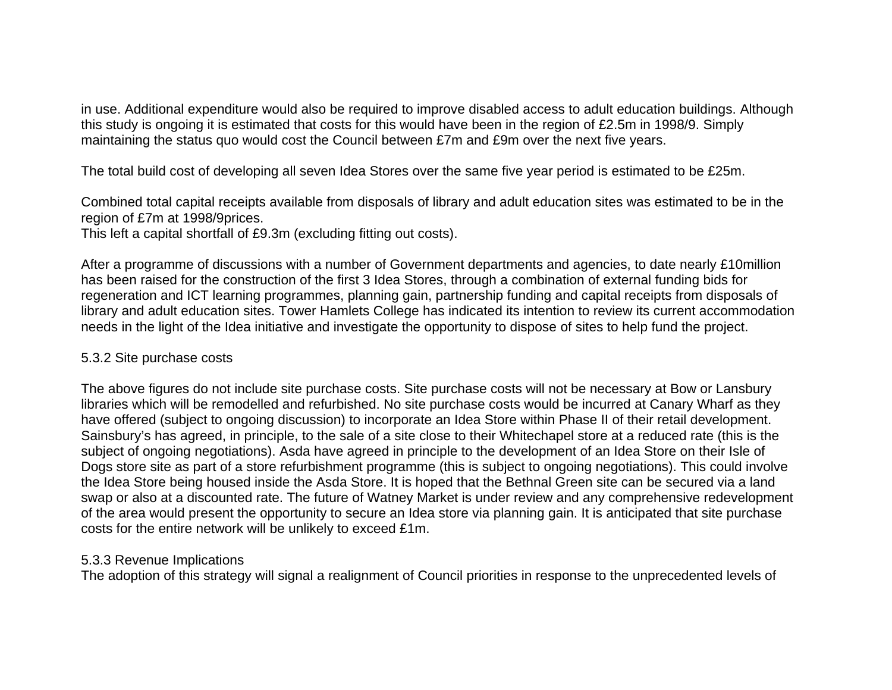in use. Additional expenditure would also be required to improve disabled access to adult education buildings. Although this study is ongoing it is estimated that costs for this would have been in the region of £2.5m in 1998/9. Simply maintaining the status quo would cost the Council between £7m and £9m over the next five years.

The total build cost of developing all seven Idea Stores over the same five year period is estimated to be £25m.

Combined total capital receipts available from disposals of library and adult education sites was estimated to be in the region of £7m at 1998/9prices.

This left a capital shortfall of £9.3m (excluding fitting out costs).

After a programme of discussions with a number of Government departments and agencies, to date nearly £10million has been raised for the construction of the first 3 Idea Stores, through a combination of external funding bids for regeneration and ICT learning programmes, planning gain, partnership funding and capital receipts from disposals of library and adult education sites. Tower Hamlets College has indicated its intention to review its current accommodation needs in the light of the Idea initiative and investigate the opportunity to dispose of sites to help fund the project.

### 5.3.2 Site purchase costs

The above figures do not include site purchase costs. Site purchase costs will not be necessary at Bow or Lansbury libraries which will be remodelled and refurbished. No site purchase costs would be incurred at Canary Wharf as they have offered (subject to ongoing discussion) to incorporate an Idea Store within Phase II of their retail development. Sainsbury's has agreed, in principle, to the sale of a site close to their Whitechapel store at a reduced rate (this is the subject of ongoing negotiations). Asda have agreed in principle to the development of an Idea Store on their Isle of Dogs store site as part of a store refurbishment programme (this is subject to ongoing negotiations). This could involve the Idea Store being housed inside the Asda Store. It is hoped that the Bethnal Green site can be secured via a land swap or also at a discounted rate. The future of Watney Market is under review and any comprehensive redevelopment of the area would present the opportunity to secure an Idea store via planning gain. It is anticipated that site purchase costs for the entire network will be unlikely to exceed £1m.

## 5.3.3 Revenue Implications

The adoption of this strategy will signal a realignment of Council priorities in response to the unprecedented levels of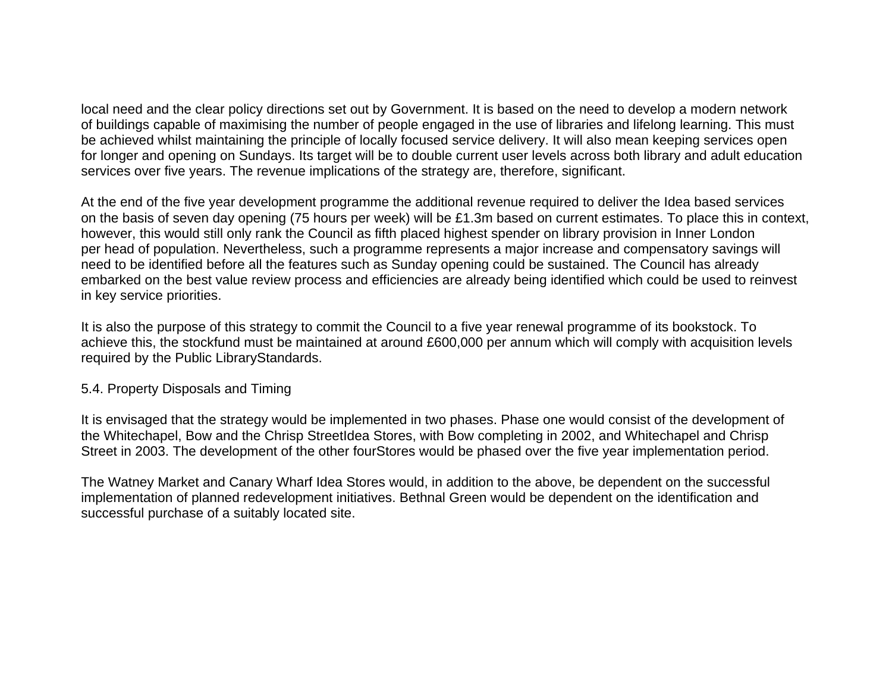local need and the clear policy directions set out by Government. It is based on the need to develop a modern network of buildings capable of maximising the number of people engaged in the use of libraries and lifelong learning. This must be achieved whilst maintaining the principle of locally focused service delivery. It will also mean keeping services open for longer and opening on Sundays. Its target will be to double current user levels across both library and adult education services over five years. The revenue implications of the strategy are, therefore, significant.

At the end of the five year development programme the additional revenue required to deliver the Idea based services on the basis of seven day opening (75 hours per week) will be £1.3m based on current estimates. To place this in context, however, this would still only rank the Council as fifth placed highest spender on library provision in Inner London per head of population. Nevertheless, such a programme represents a major increase and compensatory savings will need to be identified before all the features such as Sunday opening could be sustained. The Council has already embarked on the best value review process and efficiencies are already being identified which could be used to reinvest in key service priorities.

It is also the purpose of this strategy to commit the Council to a five year renewal programme of its bookstock. To achieve this, the stockfund must be maintained at around £600,000 per annum which will comply with acquisition levels required by the Public LibraryStandards.

### 5.4. Property Disposals and Timing

It is envisaged that the strategy would be implemented in two phases. Phase one would consist of the development of the Whitechapel, Bow and the Chrisp StreetIdea Stores, with Bow completing in 2002, and Whitechapel and Chrisp Street in 2003. The development of the other fourStores would be phased over the five year implementation period.

The Watney Market and Canary Wharf Idea Stores would, in addition to the above, be dependent on the successful implementation of planned redevelopment initiatives. Bethnal Green would be dependent on the identification and successful purchase of a suitably located site.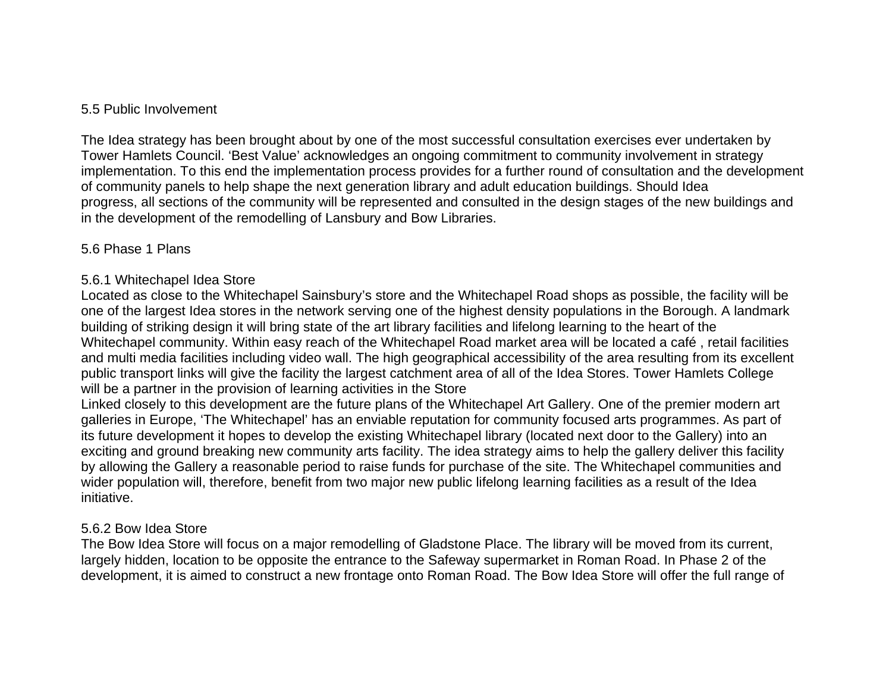## 5.5 Public Involvement

The Idea strategy has been brought about by one of the most successful consultation exercises ever undertaken by Tower Hamlets Council. 'Best Value' acknowledges an ongoing commitment to community involvement in strategy implementation. To this end the implementation process provides for a further round of consultation and the development of community panels to help shape the next generation library and adult education buildings. Should Idea progress, all sections of the community will be represented and consulted in the design stages of the new buildings and in the development of the remodelling of Lansbury and Bow Libraries.

## 5.6 Phase 1 Plans

## 5.6.1 Whitechapel Idea Store

Located as close to the Whitechapel Sainsbury's store and the Whitechapel Road shops as possible, the facility will be one of the largest Idea stores in the network serving one of the highest density populations in the Borough. A landmark building of striking design it will bring state of the art library facilities and lifelong learning to the heart of the Whitechapel community. Within easy reach of the Whitechapel Road market area will be located a café , retail facilities and multi media facilities including video wall. The high geographical accessibility of the area resulting from its excellent public transport links will give the facility the largest catchment area of all of the Idea Stores. Tower Hamlets College will be a partner in the provision of learning activities in the Store

Linked closely to this development are the future plans of the Whitechapel Art Gallery. One of the premier modern art galleries in Europe, 'The Whitechapel' has an enviable reputation for community focused arts programmes. As part of its future development it hopes to develop the existing Whitechapel library (located next door to the Gallery) into an exciting and ground breaking new community arts facility. The idea strategy aims to help the gallery deliver this facility by allowing the Gallery a reasonable period to raise funds for purchase of the site. The Whitechapel communities and wider population will, therefore, benefit from two major new public lifelong learning facilities as a result of the Idea initiative.

### 5.6.2 Bow Idea Store

The Bow Idea Store will focus on a major remodelling of Gladstone Place. The library will be moved from its current, largely hidden, location to be opposite the entrance to the Safeway supermarket in Roman Road. In Phase 2 of the development, it is aimed to construct a new frontage onto Roman Road. The Bow Idea Store will offer the full range of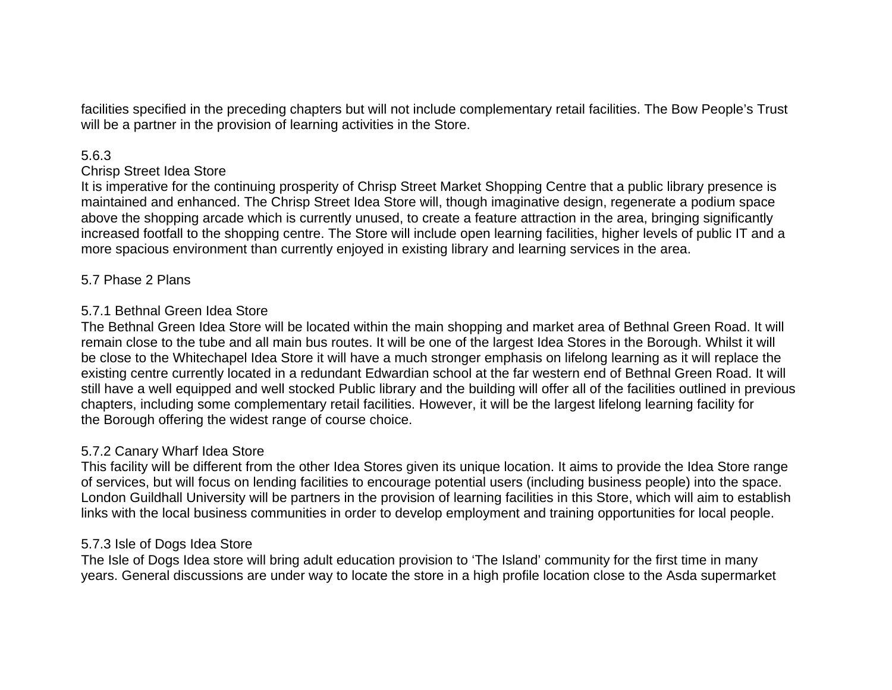facilities specified in the preceding chapters but will not include complementary retail facilities. The Bow People's Trust will be a partner in the provision of learning activities in the Store.

#### 5.6.3

#### Chrisp Street Idea Store

It is imperative for the continuing prosperity of Chrisp Street Market Shopping Centre that a public library presence is maintained and enhanced. The Chrisp Street Idea Store will, though imaginative design, regenerate a podium space above the shopping arcade which is currently unused, to create a feature attraction in the area, bringing significantly increased footfall to the shopping centre. The Store will include open learning facilities, higher levels of public IT and a more spacious environment than currently enjoyed in existing library and learning services in the area.

### 5.7 Phase 2 Plans

## 5.7.1 Bethnal Green Idea Store

The Bethnal Green Idea Store will be located within the main shopping and market area of Bethnal Green Road. It will remain close to the tube and all main bus routes. It will be one of the largest Idea Stores in the Borough. Whilst it will be close to the Whitechapel Idea Store it will have a much stronger emphasis on lifelong learning as it will replace the existing centre currently located in a redundant Edwardian school at the far western end of Bethnal Green Road. It will still have a well equipped and well stocked Public library and the building will offer all of the facilities outlined in previous chapters, including some complementary retail facilities. However, it will be the largest lifelong learning facility for the Borough offering the widest range of course choice.

### 5.7.2 Canary Wharf Idea Store

This facility will be different from the other Idea Stores given its unique location. It aims to provide the Idea Store range of services, but will focus on lending facilities to encourage potential users (including business people) into the space. London Guildhall University will be partners in the provision of learning facilities in this Store, which will aim to establish links with the local business communities in order to develop employment and training opportunities for local people.

### 5.7.3 Isle of Dogs Idea Store

The Isle of Dogs Idea store will bring adult education provision to 'The Island' community for the first time in many years. General discussions are under way to locate the store in a high profile location close to the Asda supermarket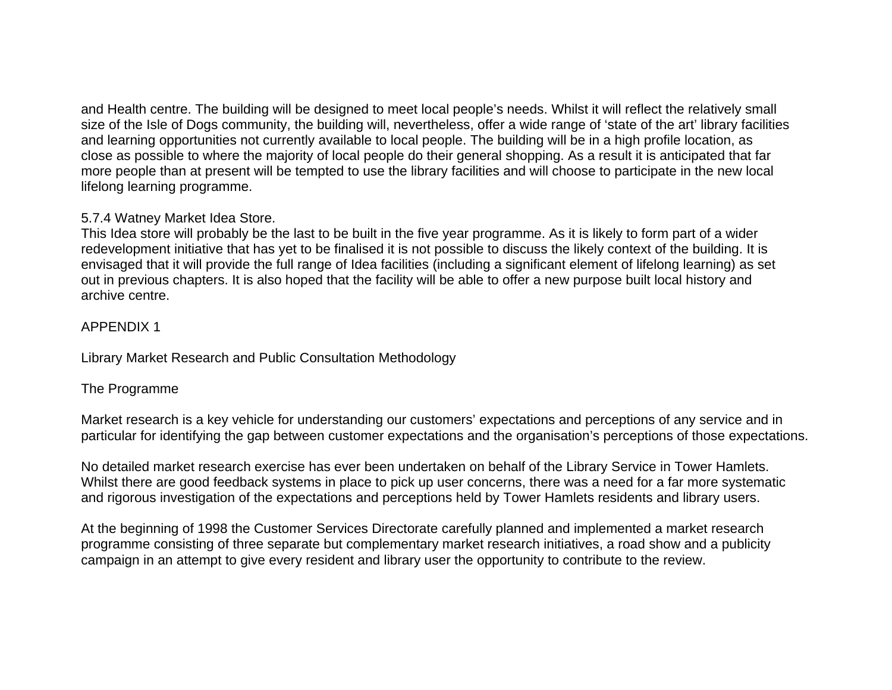and Health centre. The building will be designed to meet local people's needs. Whilst it will reflect the relatively small size of the Isle of Dogs community, the building will, nevertheless, offer a wide range of 'state of the art' library facilities and learning opportunities not currently available to local people. The building will be in a high profile location, as close as possible to where the majority of local people do their general shopping. As a result it is anticipated that far more people than at present will be tempted to use the library facilities and will choose to participate in the new local lifelong learning programme.

## 5.7.4 Watney Market Idea Store.

This Idea store will probably be the last to be built in the five year programme. As it is likely to form part of a wider redevelopment initiative that has yet to be finalised it is not possible to discuss the likely context of the building. It is envisaged that it will provide the full range of Idea facilities (including a significant element of lifelong learning) as set out in previous chapters. It is also hoped that the facility will be able to offer a new purpose built local history and archive centre.

## APPENDIX 1

Library Market Research and Public Consultation Methodology

## The Programme

Market research is a key vehicle for understanding our customers' expectations and perceptions of any service and in particular for identifying the gap between customer expectations and the organisation's perceptions of those expectations.

No detailed market research exercise has ever been undertaken on behalf of the Library Service in Tower Hamlets. Whilst there are good feedback systems in place to pick up user concerns, there was a need for a far more systematic and rigorous investigation of the expectations and perceptions held by Tower Hamlets residents and library users.

At the beginning of 1998 the Customer Services Directorate carefully planned and implemented a market research programme consisting of three separate but complementary market research initiatives, a road show and a publicity campaign in an attempt to give every resident and library user the opportunity to contribute to the review.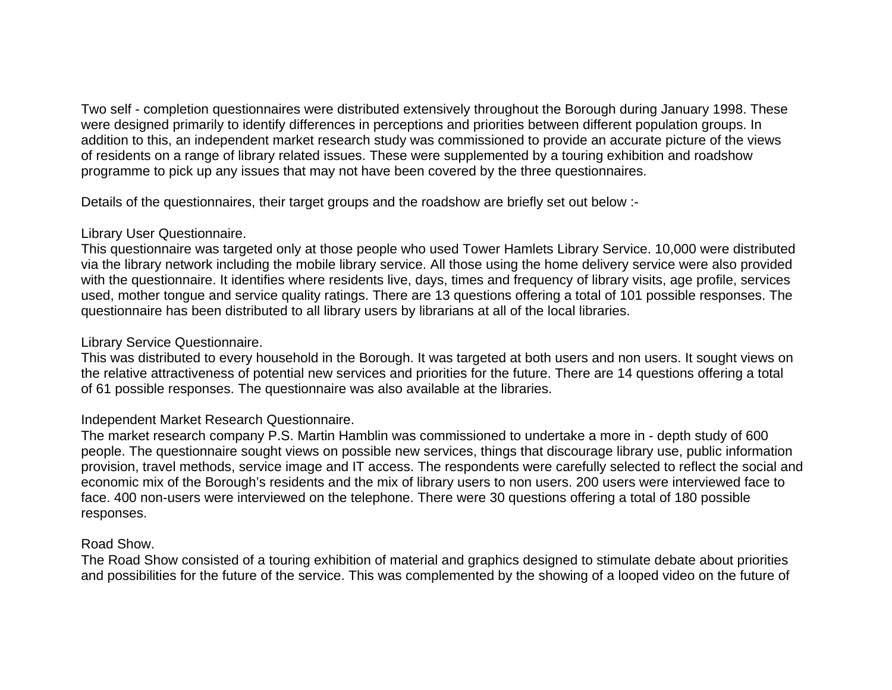Two self - completion questionnaires were distributed extensively throughout the Borough during January 1998. These were designed primarily to identify differences in perceptions and priorities between different population groups. In addition to this, an independent market research study was commissioned to provide an accurate picture of the views of residents on a range of library related issues. These were supplemented by a touring exhibition and roadshow programme to pick up any issues that may not have been covered by the three questionnaires.

Details of the questionnaires, their target groups and the roadshow are briefly set out below :-

## Library User Questionnaire.

This questionnaire was targeted only at those people who used Tower Hamlets Library Service. 10,000 were distributed via the library network including the mobile library service. All those using the home delivery service were also provided with the questionnaire. It identifies where residents live, days, times and frequency of library visits, age profile, services used, mother tongue and service quality ratings. There are 13 questions offering a total of 101 possible responses. The questionnaire has been distributed to all library users by librarians at all of the local libraries.

## Library Service Questionnaire.

This was distributed to every household in the Borough. It was targeted at both users and non users. It sought views on the relative attractiveness of potential new services and priorities for the future. There are 14 questions offering a total of 61 possible responses. The questionnaire was also available at the libraries.

# Independent Market Research Questionnaire.

The market research company P.S. Martin Hamblin was commissioned to undertake a more in - depth study of 600 people. The questionnaire sought views on possible new services, things that discourage library use, public information provision, travel methods, service image and IT access. The respondents were carefully selected to reflect the social and economic mix of the Borough's residents and the mix of library users to non users. 200 users were interviewed face to face. 400 non-users were interviewed on the telephone. There were 30 questions offering a total of 180 possible responses.

## Road Show.

The Road Show consisted of a touring exhibition of material and graphics designed to stimulate debate about priorities and possibilities for the future of the service. This was complemented by the showing of a looped video on the future of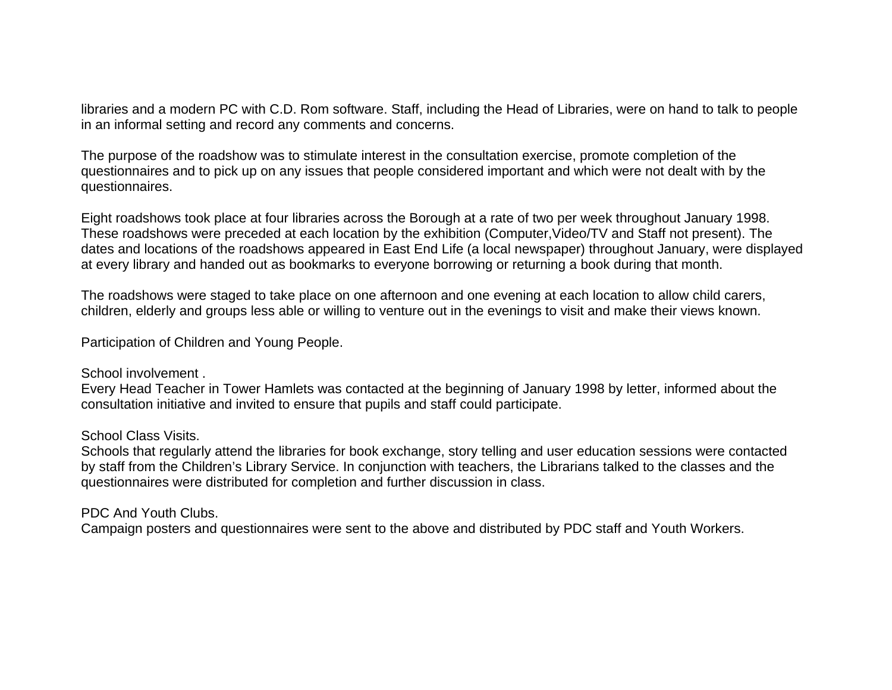libraries and a modern PC with C.D. Rom software. Staff, including the Head of Libraries, were on hand to talk to people in an informal setting and record any comments and concerns.

The purpose of the roadshow was to stimulate interest in the consultation exercise, promote completion of the questionnaires and to pick up on any issues that people considered important and which were not dealt with by the questionnaires.

Eight roadshows took place at four libraries across the Borough at a rate of two per week throughout January 1998. These roadshows were preceded at each location by the exhibition (Computer,Video/TV and Staff not present). The dates and locations of the roadshows appeared in East End Life (a local newspaper) throughout January, were displayed at every library and handed out as bookmarks to everyone borrowing or returning a book during that month.

The roadshows were staged to take place on one afternoon and one evening at each location to allow child carers, children, elderly and groups less able or willing to venture out in the evenings to visit and make their views known.

Participation of Children and Young People.

#### School involvement

Every Head Teacher in Tower Hamlets was contacted at the beginning of January 1998 by letter, informed about the consultation initiative and invited to ensure that pupils and staff could participate.

## School Class Visits.

Schools that regularly attend the libraries for book exchange, story telling and user education sessions were contacted by staff from the Children's Library Service. In conjunction with teachers, the Librarians talked to the classes and the questionnaires were distributed for completion and further discussion in class.

## PDC And Youth Clubs.

Campaign posters and questionnaires were sent to the above and distributed by PDC staff and Youth Workers.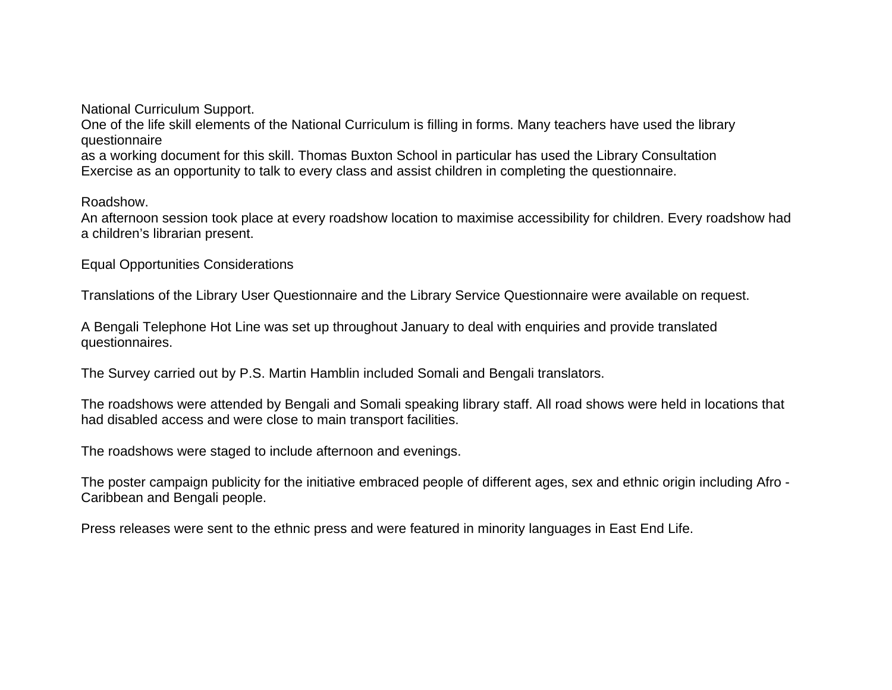National Curriculum Support.

One of the life skill elements of the National Curriculum is filling in forms. Many teachers have used the library questionnaire

as a working document for this skill. Thomas Buxton School in particular has used the Library Consultation Exercise as an opportunity to talk to every class and assist children in completing the questionnaire.

Roadshow.

An afternoon session took place at every roadshow location to maximise accessibility for children. Every roadshow had a children's librarian present.

Equal Opportunities Considerations

Translations of the Library User Questionnaire and the Library Service Questionnaire were available on request.

A Bengali Telephone Hot Line was set up throughout January to deal with enquiries and provide translated questionnaires.

The Survey carried out by P.S. Martin Hamblin included Somali and Bengali translators.

The roadshows were attended by Bengali and Somali speaking library staff. All road shows were held in locations that had disabled access and were close to main transport facilities.

The roadshows were staged to include afternoon and evenings.

The poster campaign publicity for the initiative embraced people of different ages, sex and ethnic origin including Afro - Caribbean and Bengali people.

Press releases were sent to the ethnic press and were featured in minority languages in East End Life.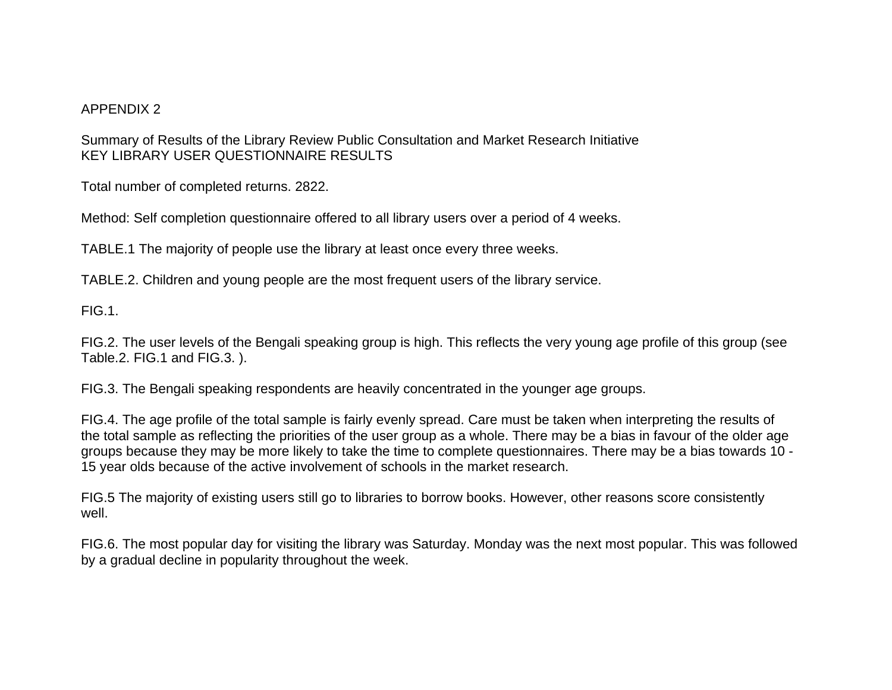#### APPENDIX 2

Summary of Results of the Library Review Public Consultation and Market Research Initiative KEY LIBRARY USER QUESTIONNAIRE RESULTS

Total number of completed returns. 2822.

Method: Self completion questionnaire offered to all library users over a period of 4 weeks.

TABLE.1 The majority of people use the library at least once every three weeks.

TABLE.2. Children and young people are the most frequent users of the library service.

FIG.1.

FIG.2. The user levels of the Bengali speaking group is high. This reflects the very young age profile of this group (see Table.2. FIG.1 and FIG.3. ).

FIG.3. The Bengali speaking respondents are heavily concentrated in the younger age groups.

FIG.4. The age profile of the total sample is fairly evenly spread. Care must be taken when interpreting the results of the total sample as reflecting the priorities of the user group as a whole. There may be a bias in favour of the older age groups because they may be more likely to take the time to complete questionnaires. There may be a bias towards 10 - 15 year olds because of the active involvement of schools in the market research.

FIG.5 The majority of existing users still go to libraries to borrow books. However, other reasons score consistently well.

FIG.6. The most popular day for visiting the library was Saturday. Monday was the next most popular. This was followed by a gradual decline in popularity throughout the week.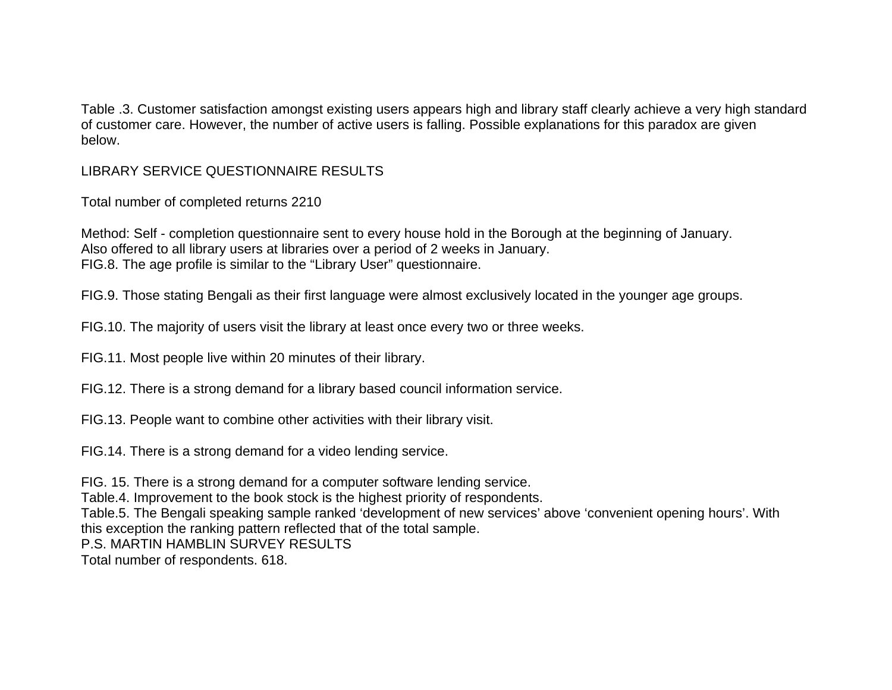Table .3. Customer satisfaction amongst existing users appears high and library staff clearly achieve a very high standard of customer care. However, the number of active users is falling. Possible explanations for this paradox are given below.

## LIBRARY SERVICE QUESTIONNAIRE RESULTS

Total number of completed returns 2210

Method: Self - completion questionnaire sent to every house hold in the Borough at the beginning of January. Also offered to all library users at libraries over a period of 2 weeks in January. FIG.8. The age profile is similar to the "Library User" questionnaire.

FIG.9. Those stating Bengali as their first language were almost exclusively located in the younger age groups.

FIG.10. The majority of users visit the library at least once every two or three weeks.

FIG.11. Most people live within 20 minutes of their library.

FIG.12. There is a strong demand for a library based council information service.

FIG.13. People want to combine other activities with their library visit.

FIG.14. There is a strong demand for a video lending service.

FIG. 15. There is a strong demand for a computer software lending service.

Table.4. Improvement to the book stock is the highest priority of respondents.

Table.5. The Bengali speaking sample ranked 'development of new services' above 'convenient opening hours'. With this exception the ranking pattern reflected that of the total sample.

P.S. MARTIN HAMBLIN SURVEY RESULTS

Total number of respondents. 618.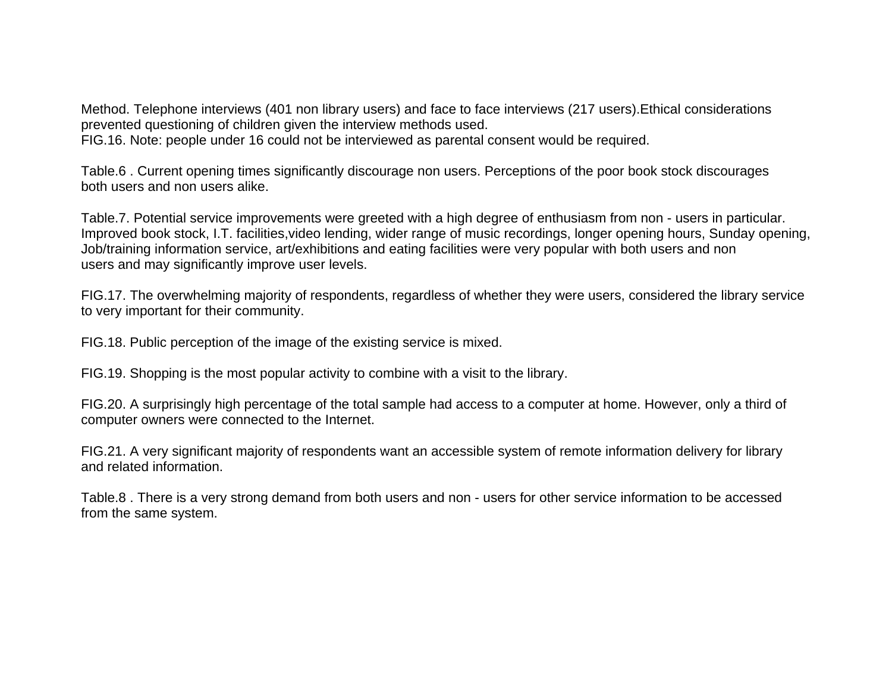Method. Telephone interviews (401 non library users) and face to face interviews (217 users).Ethical considerations prevented questioning of children given the interview methods used. FIG.16. Note: people under 16 could not be interviewed as parental consent would be required.

Table.6 . Current opening times significantly discourage non users. Perceptions of the poor book stock discourages both users and non users alike.

Table.7. Potential service improvements were greeted with a high degree of enthusiasm from non - users in particular. Improved book stock, I.T. facilities,video lending, wider range of music recordings, longer opening hours, Sunday opening, Job/training information service, art/exhibitions and eating facilities were very popular with both users and non users and may significantly improve user levels.

FIG.17. The overwhelming majority of respondents, regardless of whether they were users, considered the library service to very important for their community.

FIG.18. Public perception of the image of the existing service is mixed.

FIG.19. Shopping is the most popular activity to combine with a visit to the library.

FIG.20. A surprisingly high percentage of the total sample had access to a computer at home. However, only a third of computer owners were connected to the Internet.

FIG.21. A very significant majority of respondents want an accessible system of remote information delivery for library and related information.

Table.8 . There is a very strong demand from both users and non - users for other service information to be accessed from the same system.